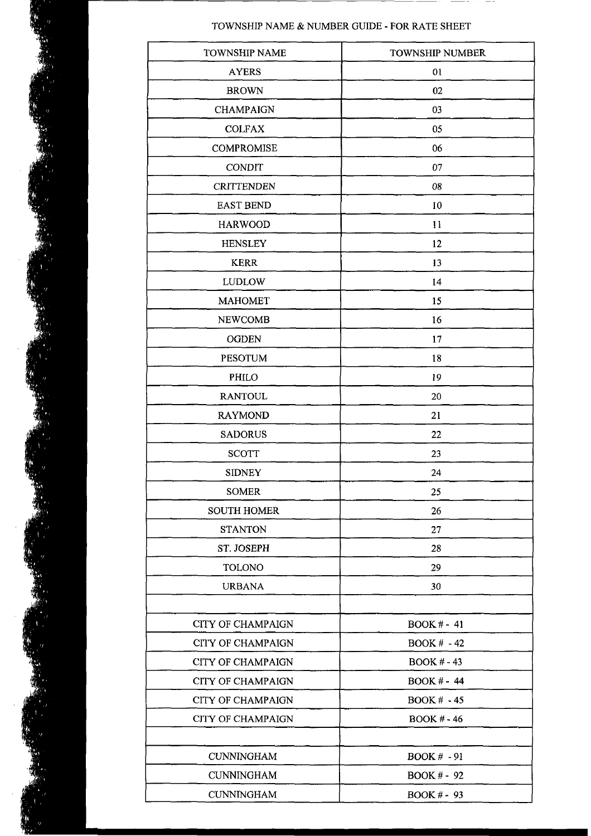## TOWNSHIP NAME & NUMBER GUIDE - FOR RATE SHEET

| <b>TOWNSHIP NAME</b>     | <b>TOWNSHIP NUMBER</b> |  |  |  |  |  |
|--------------------------|------------------------|--|--|--|--|--|
| <b>AYERS</b>             | 01                     |  |  |  |  |  |
| <b>BROWN</b>             | 02                     |  |  |  |  |  |
| <b>CHAMPAIGN</b>         | 03                     |  |  |  |  |  |
| <b>COLFAX</b>            | 05                     |  |  |  |  |  |
| <b>COMPROMISE</b>        | 06                     |  |  |  |  |  |
| <b>CONDIT</b>            | 07                     |  |  |  |  |  |
| <b>CRITTENDEN</b>        | 08                     |  |  |  |  |  |
| <b>EAST BEND</b>         | 10                     |  |  |  |  |  |
| <b>HARWOOD</b>           | 11                     |  |  |  |  |  |
| <b>HENSLEY</b>           | 12                     |  |  |  |  |  |
| <b>KERR</b>              | 13                     |  |  |  |  |  |
| <b>LUDLOW</b>            | 14                     |  |  |  |  |  |
| <b>MAHOMET</b>           | 15                     |  |  |  |  |  |
| <b>NEWCOMB</b>           | 16                     |  |  |  |  |  |
| <b>OGDEN</b>             | 17                     |  |  |  |  |  |
| <b>PESOTUM</b>           | 18                     |  |  |  |  |  |
| PHILO                    | 19                     |  |  |  |  |  |
| <b>RANTOUL</b>           | 20                     |  |  |  |  |  |
| <b>RAYMOND</b>           | 21                     |  |  |  |  |  |
| <b>SADORUS</b>           | 22                     |  |  |  |  |  |
| <b>SCOTT</b>             | 23                     |  |  |  |  |  |
| <b>SIDNEY</b>            | 24                     |  |  |  |  |  |
| <b>SOMER</b>             | 25                     |  |  |  |  |  |
| <b>SOUTH HOMER</b>       | 26                     |  |  |  |  |  |
| <b>STANTON</b>           | 27                     |  |  |  |  |  |
| ST. JOSEPH               | 28                     |  |  |  |  |  |
| <b>TOLONO</b>            | 29                     |  |  |  |  |  |
| <b>URBANA</b>            | 30                     |  |  |  |  |  |
|                          |                        |  |  |  |  |  |
| <b>CITY OF CHAMPAIGN</b> | $BOOK# - 41$           |  |  |  |  |  |
| <b>CITY OF CHAMPAIGN</b> | $BOOK # -42$           |  |  |  |  |  |
| <b>CITY OF CHAMPAIGN</b> | $BOOK # -43$           |  |  |  |  |  |
| <b>CITY OF CHAMPAIGN</b> | <b>BOOK # - 44</b>     |  |  |  |  |  |
| <b>CITY OF CHAMPAIGN</b> | <b>BOOK # - 45</b>     |  |  |  |  |  |
| <b>CITY OF CHAMPAIGN</b> | <b>BOOK # - 46</b>     |  |  |  |  |  |
|                          |                        |  |  |  |  |  |
| <b>CUNNINGHAM</b>        | <b>BOOK # - 91</b>     |  |  |  |  |  |
| <b>CUNNINGHAM</b>        | <b>BOOK # - 92</b>     |  |  |  |  |  |
| <b>CUNNINGHAM</b>        | BOOK # - 93            |  |  |  |  |  |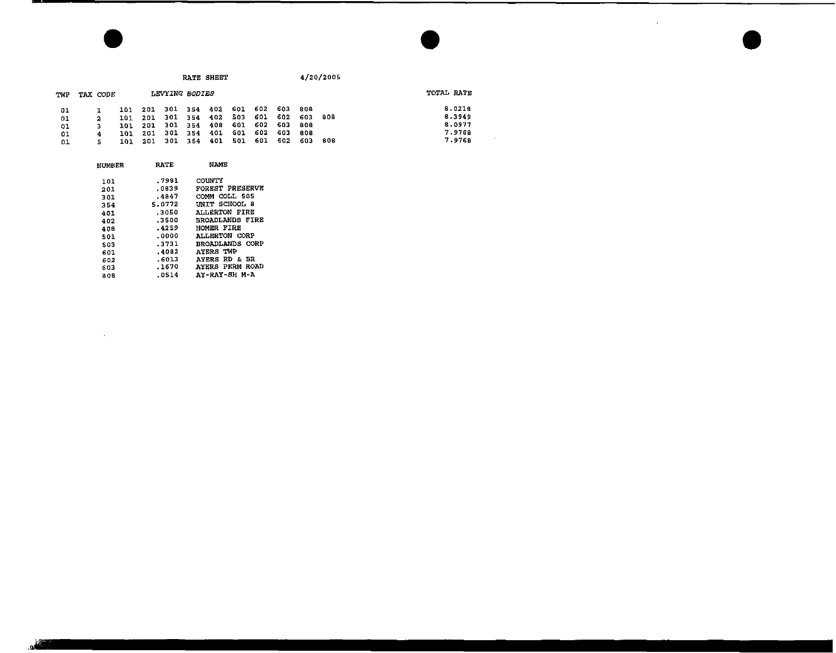$\sim$ 

 $\sim 10^{-11}$ 

| TWP | TAX CODE |      |     | LEVYING BODIES          |                             |      |      |       |      | TOTAL RATE |
|-----|----------|------|-----|-------------------------|-----------------------------|------|------|-------|------|------------|
| 01  |          | 101  |     |                         | 201 301 354 402 601 602 603 |      |      | 808   |      | 8.0218     |
| 01  |          |      |     | 101 201 301 354 402 503 |                             | -601 | 602  | -603  | -808 | 8.3949     |
| 61  |          |      |     |                         | 101 201 301 354 408 601 602 |      | -603 | - 808 |      | 8.0977     |
| 01  |          | 101. | 201 |                         | 301 354 401 601 602         |      | 603  | 80B   |      | 7.9768     |
| 01  |          | 101. |     |                         | 201 301 354 401 501         | 601  | 602  | -603  | 808  | 7.9768     |

| <b>NUMBER</b> | RATE   | <b>NAME</b>              |
|---------------|--------|--------------------------|
| 101           | .7981  | COUNTY                   |
| 201           | .0839  | FOREST PRESERVE          |
| 301           | .4847  | COMM COLL 505            |
| 354           | 5.0772 | UNIT SCHOOL 8            |
| 401           | .3050  | ALLERTON FIRE            |
| 402           | .3500  | <b>BROADLANDS FIRE</b>   |
| 408           | .4259  | HOMER FIRE               |
| 501           | .0000  | <b>ALLERTON CORP</b>     |
| 503           | .3731  | BROADLANDS CORP          |
| 601           | .4082  | <b>AYERS TWP</b>         |
| 502           | -6013  | <b>AYERS RD &amp; BR</b> |
| 603           | .1670  | <b>AYERS PERM ROAD</b>   |
| 808           | .0514  | AY-RAY-SH M-A            |
|               |        |                          |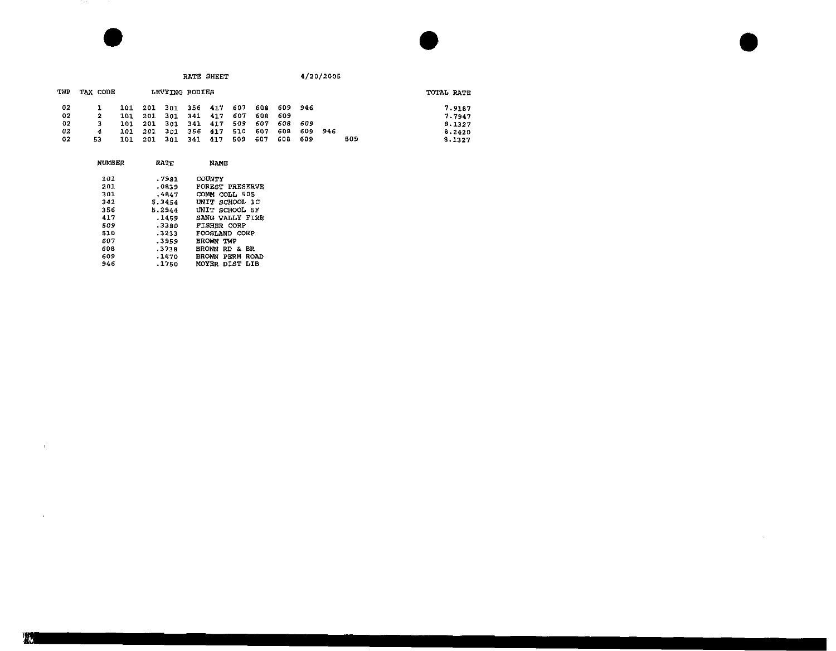|     |          |     |     |                | RATE SHEET |     |     |     |     |      | 4/20/2005 |     |            |
|-----|----------|-----|-----|----------------|------------|-----|-----|-----|-----|------|-----------|-----|------------|
| TWP | TAX CODE |     |     | LEVYING BODIES |            |     |     |     |     |      |           |     | TOTAL RATE |
| 02  |          | 101 | 201 | 301            | 356        | 417 | 607 | 608 | 609 | 946  |           |     | 7.9187     |
| 02  | 2        | 101 | 201 | 301            | 34 L       | 417 | 607 | 608 | 609 |      |           |     | 7.7947     |
| 02  | 3        | 101 | 201 | 301            | 341        | 417 | 509 | 607 | 608 | -609 |           |     | 8.1327     |
| 02  | 4        | 101 | 201 | 301            | 356        | 417 | 510 | 607 | 608 |      | 609 946   |     | 8.2420     |
| 02  | 53       | 101 | 201 | 301            | 341        | 417 | 509 | 607 | 608 | 609  |           | 509 | 8.1327     |

 $\sim 100$  km s  $^{-1}$ 

| NUMBER | RATE   | NAME                       |  |  |  |  |
|--------|--------|----------------------------|--|--|--|--|
| 101    | .7981  | COUNTY                     |  |  |  |  |
| 201    | .0839  | FOREST PRESERVE            |  |  |  |  |
| 301    | .4647  | COMM COLL 505              |  |  |  |  |
| 341    | 5.3454 | UNIT SCHOOL 1C             |  |  |  |  |
| 356    | 5.2944 | UNIT SCHOOL 5F             |  |  |  |  |
| 417    | .1459  | SANG VALLY FIRE            |  |  |  |  |
| 509    | .3380  | <b>FISHER CORP</b>         |  |  |  |  |
| 510    | .3233  | FOOSLAND CORP              |  |  |  |  |
| 607    | .3959  | BROWN TWP                  |  |  |  |  |
| 608    | .3738  | <b>BROWN</b><br>RD &<br>BR |  |  |  |  |
| 609    | .1670  | BROWN PERM ROAD            |  |  |  |  |
| 946    | .1750  | MOYER DIST LIB             |  |  |  |  |

 $\sim 10^{11}$  km s  $^{-1}$ 

 $\mathcal{L}^{\text{max}}_{\text{max}}$  and  $\mathcal{L}^{\text{max}}_{\text{max}}$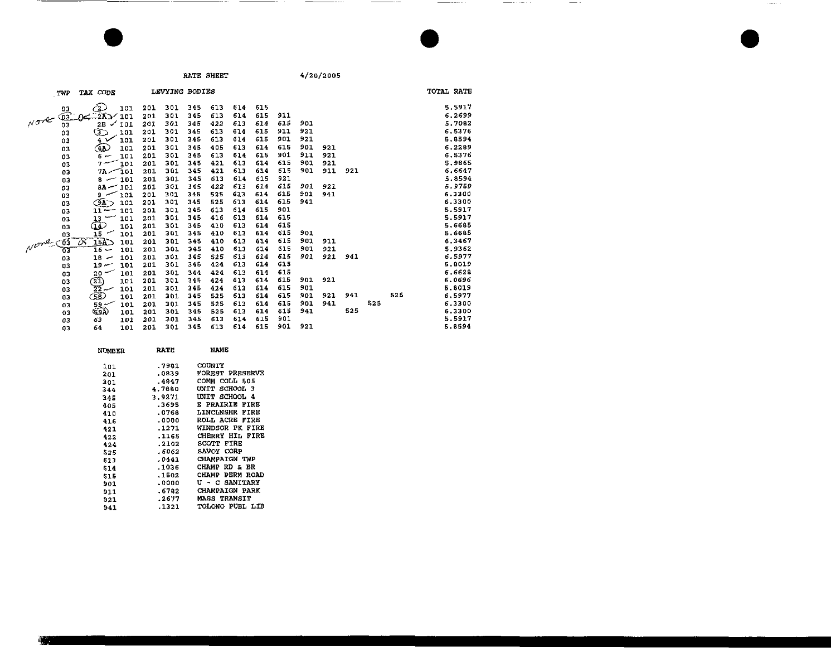**Commercial** Constitution

 $\sim$   $\sim$ 

 $\alpha$  and  $\beta$ 

|      | TWP             | TAX CODE                               |     | LEVYING BODIES |     |     |     |     |     |     |     |     |     |     | TOTAL RATE |
|------|-----------------|----------------------------------------|-----|----------------|-----|-----|-----|-----|-----|-----|-----|-----|-----|-----|------------|
|      |                 |                                        |     |                |     |     |     |     |     |     |     |     |     |     |            |
|      | 03              | Ć2.)<br>101                            | 201 | 301            | 345 | 613 | 614 | 615 |     |     |     |     |     |     | 5.5917     |
| Nove | $\overline{03}$ | 2A<br>101<br>DS.                       | 201 | 301            | 345 | 613 | 614 | 615 | 911 |     |     |     |     |     | 6,2699     |
|      | 03              | 2Б<br>101<br>$\checkmark$              | 201 | 301            | 345 | 422 | 613 | 614 | 615 | 901 |     |     |     |     | 5.7082     |
|      | 03              | D<br>101                               | 201 | 301            | 345 | 613 | 614 | 615 | 911 | 921 |     |     |     |     | 6.5376     |
|      | 03              | 101<br>4 V                             | 201 | 301            | 345 | 613 | 614 | 615 | 901 | 921 |     |     |     |     | 5.8594     |
|      | 03              | 4A)<br>101                             | 201 | 301            | 345 | 405 | 613 | 614 | 615 | 901 | 921 |     |     |     | 6.2289     |
|      | 03              | 101<br>سہ 6                            | 201 | 301            | 345 | 613 | 614 | 615 | 901 | 911 | 921 |     |     |     | 6.5376     |
|      | 03              | 101<br>$7 -$                           | 201 | 301            | 345 | 421 | 613 | 614 | 615 | 901 | 921 |     |     |     | 5.9865     |
|      | 03              | $7A - 101$                             | 201 | 301            | 345 | 421 | 613 | 614 | 615 | 901 | 911 | 921 |     |     | 6.6647     |
|      | 03              | 101<br>$\mathbf{s}$ $\sim$             | 201 | 301            | 345 | 613 | 614 | 615 | 921 |     |     |     |     |     | 5.8594     |
|      | 03              | $0A - 101$                             | 201 | 301            | 345 | 422 | 613 | 614 | 615 | 901 | 921 |     |     |     | 5.9759     |
|      | 03              | 101<br>سو                              | 201 | 301            | 345 | 525 | 613 | 614 | 615 | 901 | 941 |     |     |     | 6.3300     |
|      | 03              | $\widehat{\text{SA}}$ $\supset$<br>101 | 201 | 301            | 345 | 525 | 613 | 614 | 615 | 941 |     |     |     |     | 6.3300     |
|      | 03              | 101<br>$11 -$                          | 201 | 301            | 345 | 613 | 614 | 615 | 901 |     |     |     |     |     | 5.5917     |
|      | 03              | 101<br>13                              | 201 | 301            | 345 | 416 | 613 | 614 | 615 |     |     |     |     |     | 5.5917     |
|      | 03              | O<br>101                               | 201 | 301            | 345 | 410 | 613 | 614 | 615 |     |     |     |     |     | 5.6685     |
|      | 03              | 15<br>101                              | 201 | 301            | 345 | 410 | 613 | 614 | 615 | 901 |     |     |     |     | 5.6685     |
| Nome | 75              | 75<br>15A<br>101                       | 201 | 301            | 345 | 410 | 613 | 614 | 615 | 901 | 911 |     |     |     | 6.3467     |
|      | 63              | $16 -$<br>101                          | 201 | 301            | 345 | 410 | 613 | 614 | 615 | 901 | 921 |     |     |     | 5.9362     |
|      | 03              | $18 -$<br>101                          | 201 | 301            | 345 | 525 | 613 | 614 | 615 | 901 | 921 | 941 |     |     | 6.5977     |
|      | 03              | $19-$<br>101                           | 201 | 301            | 345 | 424 | 613 | 614 | 615 |     |     |     |     |     | 5,8019     |
|      | 03              | $20 -$<br>101                          | 201 | 301            | 344 | 424 | 613 | 614 | 615 |     |     |     |     |     | 6.6628     |
|      | 03              | $\frac{21}{22}$<br>101                 | 201 | 301            | 345 | 424 | 613 | 614 | 615 | 901 | 921 |     |     |     | 6.0696     |
|      | 03              | 101                                    | 201 | 301            | 345 | 424 | 613 | 614 | 615 | 901 |     |     |     |     | 5.8019     |
|      | O3              | (58)<br>101                            | 201 | 301            | 345 | 525 | 613 | 614 | 615 | 901 | 921 | 941 |     | 525 | 6.5977     |
|      | 03              | $59 -$<br>101                          | 201 | 301            | 345 | 525 | 613 | 614 | 615 | 901 | 941 |     | 525 |     | 6.3300     |
|      | 03              | (Sar<br>101                            | 201 | 301            | 345 | 525 | 613 | 614 | 615 | 941 |     | 525 |     |     | 6.3300     |
|      | 03              | 63<br>101                              | 201 | 301            | 345 | 613 | 614 | 615 | 901 |     |     |     |     |     | 5.5917     |
|      | 03              | 64<br>101                              | 201 | 301            | 345 | 613 | 614 | 615 | 901 | 921 |     |     |     |     | 5.8594     |
|      |                 |                                        |     |                |     |     |     |     |     |     |     |     |     |     |            |

| NUMBER | <b>RATE</b> | NAME                      |
|--------|-------------|---------------------------|
| 101    | .7981       | COUNTY                    |
| 201    | .0839       | FOREST PRESERVE           |
| 301    | .4847       | COMM COLL 505             |
| 344    | 4.7680      | UNIT SCHOOL 3             |
| $-45$  | 3.9271      | UNIT SCHOOL 4             |
| 405    | .3695       | <b>E PRAIRIE FIRE</b>     |
| 410    | .0768       | LINCLNSHR FIRE            |
| 416    | .0000       | <b>ROLL ACRE FIRE</b>     |
| 421    | .1271       | WINDSOR PK FIRE           |
| 422    | .1165       | CHERRY HIL FIRE           |
| 424    | .2102       | <b>SCOTT FIRE</b>         |
| 525    | .6062       | SAVOY CORP                |
| 613    | .0441       | CHAMPAIGN TWP             |
| \$14   | .1036       | CHAMP RD & BR             |
| 515    | .1502       | <b>PERM ROAD</b><br>CHAMP |
| 901    | .0000       | U - C SANITARY            |
| 911    | .6782       | <b>CHAMPAIGN PARK</b>     |
| 921    | .2677       | <b>MASS TRANSIT</b>       |
| 941    | .1321       | TOLONO PUBL LIB           |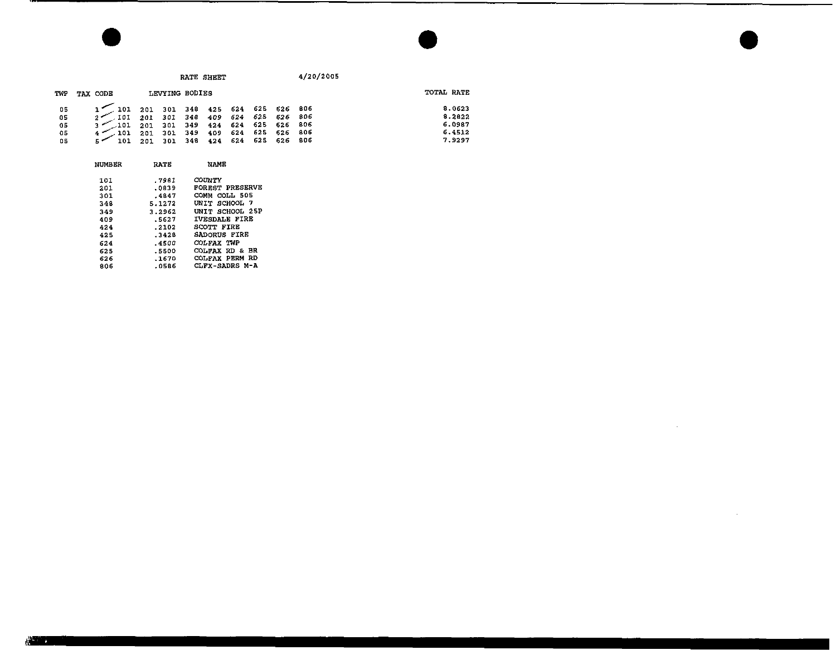$\sim$ 

 $\mathcal{L}$ 

| TWP | TAX CODE                                                                       |  | LEVYING BODIES |  |  | TOTAL RATE |
|-----|--------------------------------------------------------------------------------|--|----------------|--|--|------------|
| 05  | 1 101 201 301 348 425 624 625 626 806<br>2 101 201 301 348 409 624 625 626 806 |  |                |  |  | 8.0623     |
| 05  |                                                                                |  |                |  |  | 8.2822     |
| 05  | 3 101 201 301 349 424 624 625 626 806                                          |  |                |  |  | 6.0987     |
| 05  | $4^{\prime\prime}$ 101 201 301 349 409 624 625 626 806                         |  |                |  |  | 6.4512     |
| 05  | 5 7 101 201 301 348 424 624 625 626 806                                        |  |                |  |  | 7.9297     |

| NUMBER | <b>RATE</b> | NAME                   |
|--------|-------------|------------------------|
| 101    | .7981       | COUNTY                 |
| 201    | .0839       | <b>FOREST PRESERVE</b> |
| 301    | $-4847$     | COMM COLL 505          |
| 348    | 5.1272      | UNIT SCHOOL 7          |
| 349    | 3.2962      | UNIT SCHOOL 25P        |
| 409    | .5627       | <b>IVESDALE FIRE</b>   |
| 424    | .2102       | SCOTT FIRE             |
| 425    | .3428       | SADORUS FIRE           |
| 624    | . 4500      | COLFAX TWP             |
| 625    | .5500       | вR<br>COLFAX RD &      |
| 626    | $-1670$     | COLFAX PERM RD         |
| 806    | .0586       | CLFX-SADRS M-A         |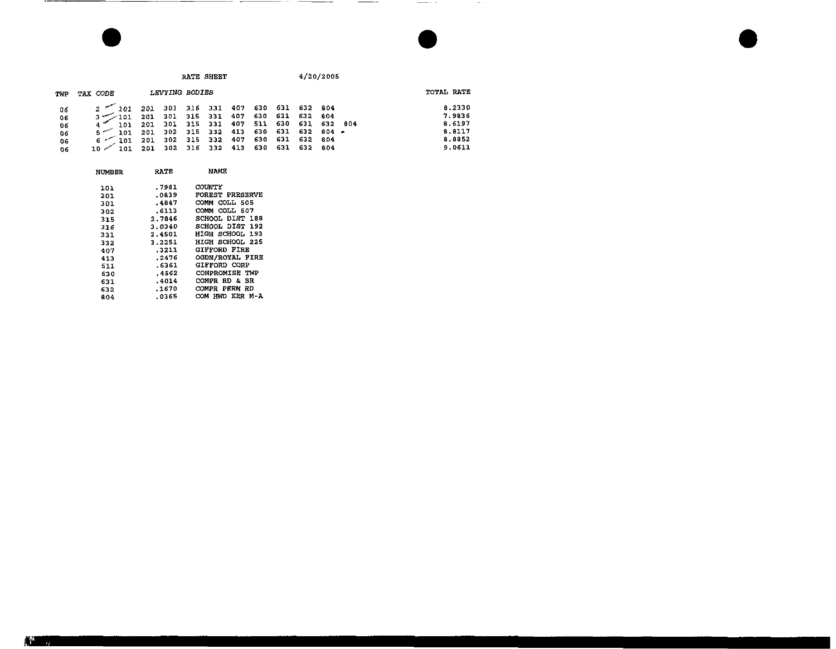RATE SHEET

4/20/2005

 $\frac{1}{2} \left( \frac{1}{2} \right) \left( \frac{1}{2} \right) \left( \frac{1}{2} \right) \left( \frac{1}{2} \right) \left( \frac{1}{2} \right) \left( \frac{1}{2} \right) \left( \frac{1}{2} \right) \left( \frac{1}{2} \right) \left( \frac{1}{2} \right) \left( \frac{1}{2} \right) \left( \frac{1}{2} \right) \left( \frac{1}{2} \right) \left( \frac{1}{2} \right) \left( \frac{1}{2} \right) \left( \frac{1}{2} \right) \left( \frac{1}{2} \right) \left( \frac$ 

 $\sim$  100  $\sim$ 

------

| TWP                              | TAX CODE                                            | LEVYING BODIES                                                                                                                                                                                                                                   |  |  |  | TOTAL RATE                           |
|----------------------------------|-----------------------------------------------------|--------------------------------------------------------------------------------------------------------------------------------------------------------------------------------------------------------------------------------------------------|--|--|--|--------------------------------------|
| 06<br>06<br>0 <sub>5</sub><br>06 |                                                     | $2$ $101$ $201$ $301$ $316$ $331$ $407$ $630$ $631$ $632$ $804$<br>$3$ $101$ $201$ $301$ $315$ $331$ $407$ $630$ $631$ $632$ $804$<br>$4$ 101 201 301 315 331 407 511 630 631 632 804<br>$5 - 101$ 201 302 315 332 413 630 631 632 804 $\bullet$ |  |  |  | 8.2330<br>7.9836<br>8.6197<br>8.8117 |
| 06<br>06                         | $10$ $\sim$ 101 201 302 316 332 413 630 631 632 804 | $6$ $\sim$ 101 201 302 315 332 407 630 631 632 804                                                                                                                                                                                               |  |  |  | 8.8852<br>9.0611                     |

-- -

| NUMBER | KAI 5  | <b>NATIL</b>           |
|--------|--------|------------------------|
| 101    | .7931  | <b>COUNTY</b>          |
| 201    | .0839  | <b>FOREST PRESERVE</b> |
| 301    | .4847  | COMM COLL 505          |
| 302    | .6113  | COMM COLL 507          |
| 315    | 2.7846 | SCHOOL DIST 188        |
| 316    | 3.0340 | SCHOOL DIST 192        |
| 331    | 2,4501 | HIGH SCHOOL 193        |
| 332    | 3.2251 | HIGH SCHOOL 225        |
| 407    | .3211  | <b>GIFFORD FIRE</b>    |
| 413    | .2476  | OGDN/ROYAL FIRE        |
| 511    | .6361  | GIFFORD CORP           |
| 630    | .4562  | COMPROMISE TWP         |
| 631    | .4014  | COMPR RD & BR          |
| 632.   | .1670  | COMPR PERM RD          |
| 804    | .0365  | COM HWD KER M-A        |
|        |        |                        |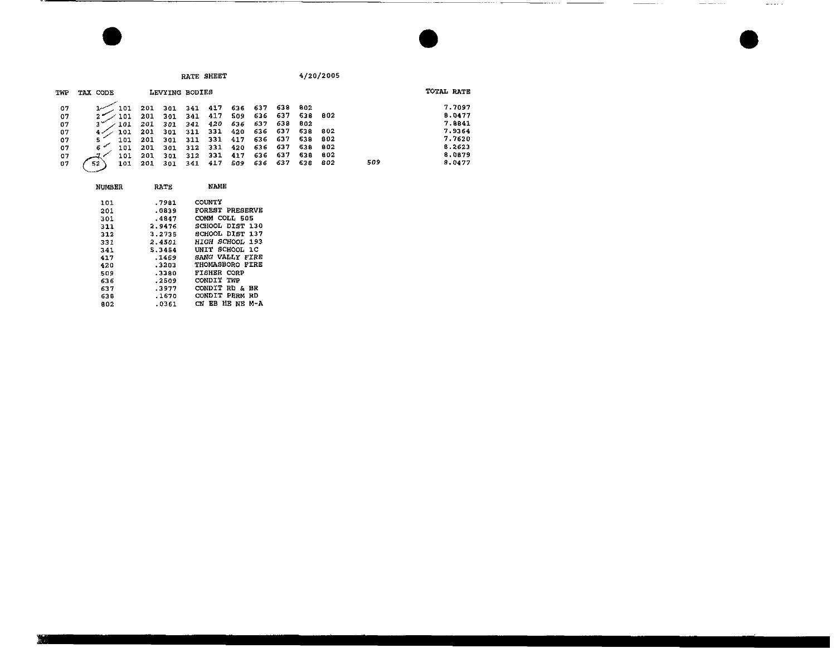| RATI |
|------|

NUMBER RATE NAME

 $RE$  SHEET  $4/20/2005$ 

 $\frac{1}{2} \left( \frac{1}{2} \right) \left( \frac{1}{2} \right) \left( \frac{1}{2} \right) \left( \frac{1}{2} \right) \left( \frac{1}{2} \right) \left( \frac{1}{2} \right) \left( \frac{1}{2} \right) \left( \frac{1}{2} \right) \left( \frac{1}{2} \right) \left( \frac{1}{2} \right) \left( \frac{1}{2} \right) \left( \frac{1}{2} \right) \left( \frac{1}{2} \right) \left( \frac{1}{2} \right) \left( \frac{1}{2} \right) \left( \frac{1}{2} \right) \left( \frac$ 

 $\frac{1}{2}$  . The set of  $\mathcal{A}$ 

| TWP | TAX CODE  |     | LEVYING BODIES |     |     |     |         |     |     |      |     | TOTAL RATE |
|-----|-----------|-----|----------------|-----|-----|-----|---------|-----|-----|------|-----|------------|
| 07  | 101       | 201 | 301            | 341 | 417 | 636 | 637     | 638 | 802 |      |     | 7.7097     |
| 07  | 101       | 201 | 301            | 341 | 417 | 509 | 636     | 637 | 638 | -802 |     | 8.0477     |
| 07  | 101       | 201 | 301            | 341 | 420 | 636 | 637     | 638 | 802 |      |     | 7.8841     |
| 07  | 101       | 201 | 301            | 311 | 331 | 420 | 636 637 |     | 638 | -302 |     | 7.9364     |
| 07  | 101       | 201 | 301            | 211 | 331 | 417 | 636 637 |     | 638 | 802  |     | 7.7620     |
| 07  | 101       | 201 | 301            | 312 | 331 | 420 | 636     | 637 | 638 | 802  |     | B.2623     |
| 07  | 101       | 201 | 301            | 312 | 331 | 417 | 636     | 637 | 638 | 802  |     | 8.0879     |
| 07  | 52<br>101 | 201 | 301            | 341 | 417 | 509 | 636     | 637 | 638 | 802  | 509 | 8.0477     |

| .7981   | COUNTY                  |
|---------|-------------------------|
| .0839   | FOREST PRESERVE         |
| $-4847$ | COMM COLL 505           |
| 2.9476  | SCHOOL DIST 130         |
| 3.2735  | SCHOOL DIST 137         |
| 2.4501  | HIGH SCHOOL 193         |
| 5.3454  | UNIT SCHOOL 1C          |
| .1459   | SANG VALLY FIRE         |
| .3203   | THOMASBORO FIRE         |
| .3380   | <b>FISHER CORP</b>      |
| .2509   | CONDIT TWP              |
| .3977   | CONDIT RD & BR          |
| .1670   | PERM<br>CONDIT<br>RD    |
| .0361   | EB HE NE<br>M - A<br>СN |
|         |                         |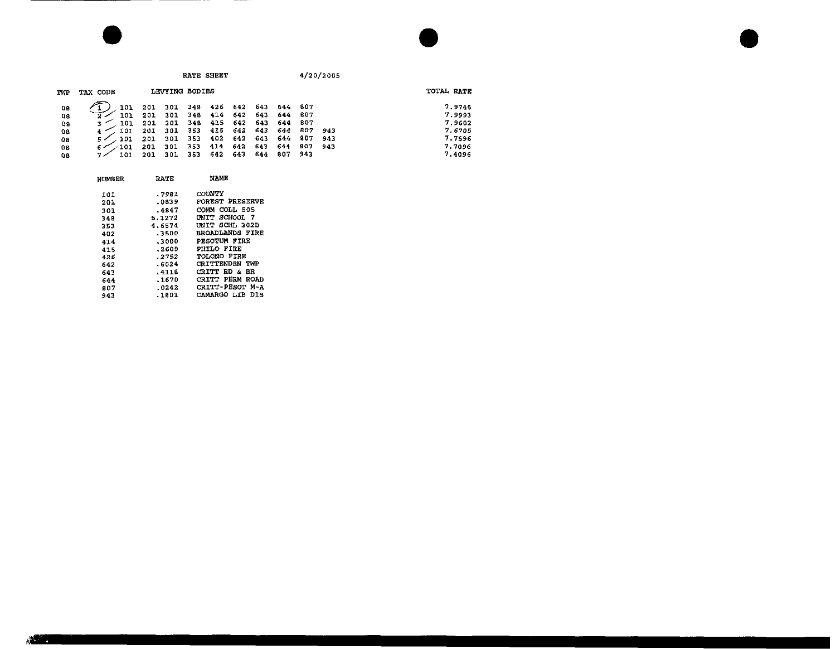|     |           |     |     | RATE SHEET     |     |     |     |     |     | 4/20/2005 |            |
|-----|-----------|-----|-----|----------------|-----|-----|-----|-----|-----|-----------|------------|
| TWP | TAX CODE  |     |     | LEVYING BODIES |     |     |     |     |     |           | TOTAL RATE |
| 0B  | 101       | 201 | 301 | 348            | 426 | 642 | 643 | 644 | 807 |           | 7.9745     |
| 08  | 101       | 201 | 301 | 348            | 414 | 642 | 643 | 644 | 807 |           | 7.9993     |
| O8  | 101       | 201 | 301 | 348            | 415 | 642 | 643 | 644 | 807 |           | 7.9602     |
| 08  | 101       | 201 | 301 | 353            | 415 | 642 | 643 | 644 | 807 | 943       | 7.6705     |
| o s | 101<br>5, | 201 | 301 | 353            | 402 | 642 | 643 | 644 | 807 | 943       | 7.7596     |
| 08  | 101       | 201 | 301 | 353            | 414 | 642 | 643 | 644 | 807 | 943       | 7.7096     |
| 08  | 101<br>コン | 201 | 301 | 353            | 642 | 643 | 644 | 807 | 943 |           | 7.4096     |

| NUMBER | RATE   | NAME                     |
|--------|--------|--------------------------|
| 101    | .7981  | COUNTY                   |
| 201    | .0839  | FOREST PRESERVE          |
| 301    | .4847  | COMM COLL 505            |
| 348    | 5.1272 | UNIT SCHOOL 7            |
| 353    | 4.6574 | UNIT SCHL 302D           |
| 402    | .3500  | <b>BROADLANDS FIRE</b>   |
| 414    | .3000  | PESOTUM FIRE             |
| 415    | .2609  | PHILO FIRE               |
| 426    | .2752  | TOLONO FIRE              |
| 642    | .6024  | <b>CRITTENDEN TWP</b>    |
| 643    | .4118  | <b>CRITT RD &amp; BR</b> |
| 644    | .1670  | CRITT PERM ROAD          |
| 807    | .0242  | CRITT-PESOT M-A          |
| 943    | .1801  | CAMARGO LIB DIS          |

 $\overline{\phantom{0}}$ 

-----

 $- - -$ 

--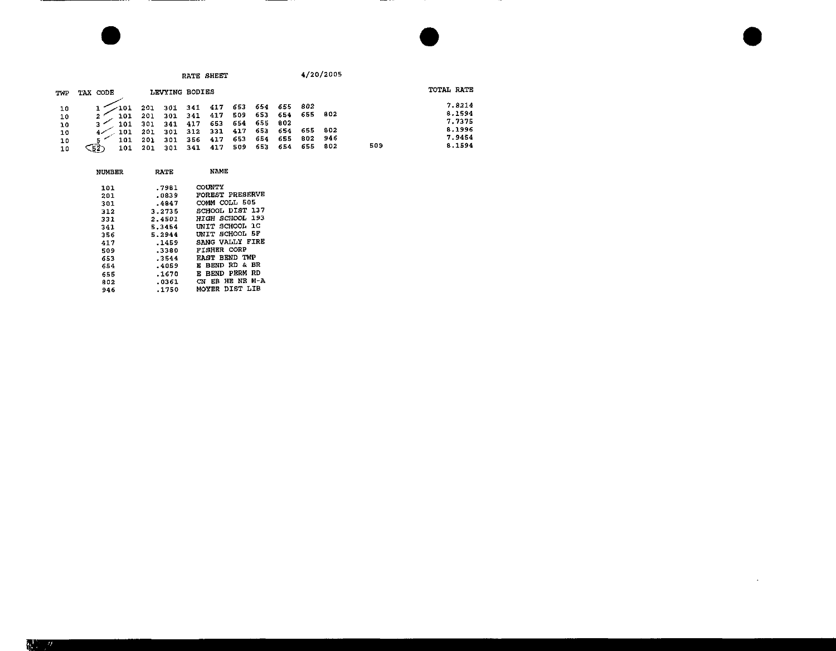|                                  |                                         |                                        |                                 | RATE SHEET                                 |                                        |                                        |                                            |                                   |                                  | 4/20/2005                |     |                                                          |  |
|----------------------------------|-----------------------------------------|----------------------------------------|---------------------------------|--------------------------------------------|----------------------------------------|----------------------------------------|--------------------------------------------|-----------------------------------|----------------------------------|--------------------------|-----|----------------------------------------------------------|--|
| TWP                              | TAX CODE                                |                                        |                                 | LEVYING BODIES                             |                                        |                                        |                                            |                                   |                                  |                          |     | TOTAL RATE                                               |  |
| 10<br>10<br>10<br>10<br>10<br>10 | 101<br>101<br>101<br>101<br>- 52<br>101 | 201<br>201<br>301<br>201<br>201<br>201 | 301<br>341<br>301<br>301<br>301 | 301 341<br>341<br>417<br>312<br>356<br>341 | 417<br>417<br>653<br>331<br>417<br>417 | 653<br>509<br>654<br>417<br>653<br>509 | 654 655<br>653<br>655<br>653<br>654<br>653 | - 654<br>802<br>654<br>655<br>654 | -802<br>655<br>655<br>802<br>655 | 802<br>802<br>946<br>802 | 509 | 7.8214<br>8.1594<br>7.7375<br>8.1996<br>7.9454<br>8.1594 |  |

 $\sim$ 

| NUMBER     | RATE             | NAME                                       |
|------------|------------------|--------------------------------------------|
| 101<br>201 | .7981<br>.0839   | COUNTY<br>FOREST PRESERVE                  |
| 301        | .4847            | COMM COLL 505                              |
| 312<br>331 | 3.2735<br>2.4501 | SCHOOL DIST 137<br>193<br>HIGH SCHOOL      |
| 341        | 5.3454           | າດ<br>INIT SCHOOL                          |
| 356<br>417 | 5.2944<br>.1459  | - 5 F<br>INIT SCHOOL<br>SANG VALLY FIRE    |
| 509        | .3380            | <b>FISHER CORP</b>                         |
| 653        | .3544<br>.4059   | <b>EAST BEND TWP</b><br>BEND RD & BR<br>F. |
| 654<br>655 | .1670            | RD<br><b>BEND PERM</b><br>E                |
| 802        | .0361            | M-A<br>HE NE<br>EВ<br>CN<br>DIST LIB       |
| 946        | .1750            | MOYER                                      |

<u> ----------</u>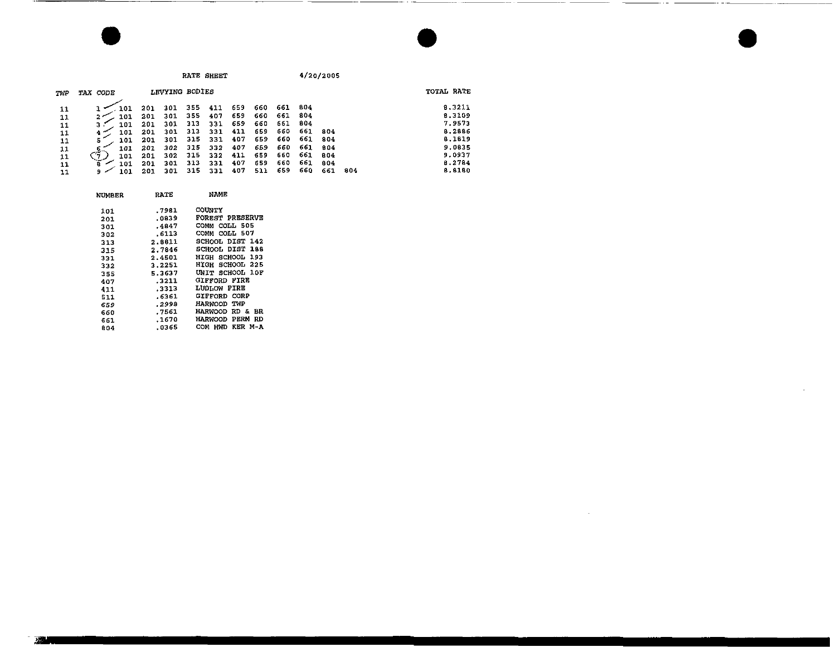RATE SHEET

4/20/2005

 $\mathbf{v}$ 

| TWP | TAX CODE             |     | LEVYING BODIES |      |     |     |      |         |      |      |      | TOTAL RATE |  |
|-----|----------------------|-----|----------------|------|-----|-----|------|---------|------|------|------|------------|--|
|     |                      | 201 | 301            | 355  | 411 | 659 | 660  | 661 804 |      |      |      | 8.3211     |  |
| 11  | 101                  | 201 | 301            | 355  | 407 | 659 | 660  | 661     | -804 |      |      | 8.3109     |  |
| 11  | 101                  | 201 | 301            | 313  | 331 | 659 | -660 | 661     | -804 |      |      | 7.9573     |  |
| 11  | 101                  | 201 | 301            | 313  | 331 | 411 | 659  | 660     | 661  | -804 |      | 8.2886     |  |
| 11  | 101                  | 201 | 301            | 315  | 331 | 407 | 659  | 660     | 661  | -804 |      | 8,1819     |  |
| 11  | 101                  | 201 | 302            | -315 | 332 | 407 | 659  | 660     | 661. | 804  |      | 9.0835     |  |
| 11  | $\mathcal{L}$<br>101 | 201 | 302            | 315  | 332 | 411 | 659  | 660     | 661  | 804  |      | 9.0937     |  |
| 11  | 101                  | 201 | 301            | 313  | 331 | 407 | 659  | 660     | 661  | 804  |      | 8.2784     |  |
| 11  | 101<br>9.            | 201 | 301            | 315  | 331 | 407 | 511  | 659     | 660  | 661  | -804 | 8.8180     |  |

| <b>NUMBER</b> | RATE   | NAME                          |
|---------------|--------|-------------------------------|
| 101           | .7981  | <b>COUNTY</b>                 |
| 201           | .0839  | <b>FOREST PRESERVE</b>        |
| 301           | .4847  | COMM COLL 505                 |
| 302           | .6113  | COMM COLL 507                 |
| 313           | 2.8811 | SCHOOL DIST 142               |
| 315           | 2.7846 | SCHOOL DIST 188               |
| 331           | 2.4501 | HIGH SCHOOL 193               |
| 332           | 3.2251 | HIGH SCHOOL 225               |
| 355           | 5.3637 | UNIT SCHOOL 10F               |
| 407           | .3211  | <b>GIFFORD FIRE</b>           |
| 411           | .3313  | LUDLOW FIRE                   |
| 511           | .6361  | GIFFORD CORP                  |
| 659           | .2998  | HARWOOD<br>TMP                |
| 660           | .7561  | <b>HARWOOD RD &amp;</b><br>BR |
| 661           | .1670  | PERM<br>RD<br><b>HARWOOD</b>  |
| 804           | .0365  | KER M-A<br>сом<br>HWD         |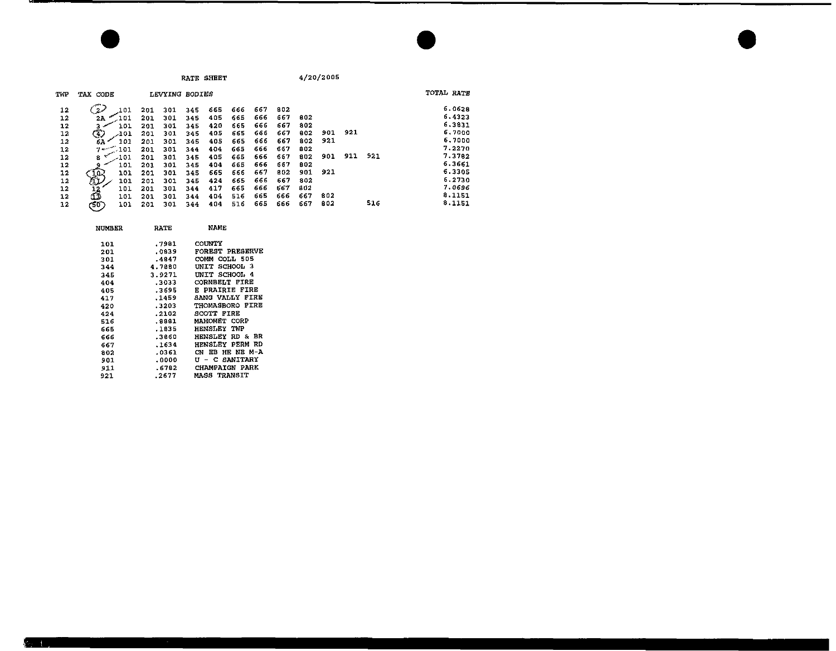**RATE SHEET** 

4/20/2005

| TWP | TAX CODE              |     | LEVYING BODIES |     |     |     |     |     |     |     |     |     | TOTAL RATE |
|-----|-----------------------|-----|----------------|-----|-----|-----|-----|-----|-----|-----|-----|-----|------------|
| 12  | 2 <sub>o</sub><br>101 | 201 | 301            | 345 | 665 | 666 | 667 | 802 |     |     |     |     | 6.0628     |
| 12  | 101<br>2A             | 201 | 301            | 345 | 405 | 665 | 666 | 667 | 802 |     |     |     | 6.4323     |
| 12  | 101                   | 201 | 301            | 345 | 420 | 665 | 666 | 667 | 802 |     |     |     | 6.3831     |
| 12  | ٩<br>-101             | 201 | 301            | 345 | 405 | 665 | 666 | 667 | 802 | 901 | 921 |     | 6.7000     |
| 12  | 101<br>6А             | 201 | 301            | 345 | 405 | 665 | 666 | 667 | 802 | 921 |     |     | 6.7000     |
| 12  | $7 -$<br>D-101        | 201 | 301            | 344 | 404 | 665 | 666 | 667 | 802 |     |     |     | 7.2270     |
| 12  | -101<br>8             | 201 | 301            | 345 | 405 | 665 | 666 | 667 | 802 | 901 | 911 | 921 | 7.3782     |
| 12  | 101                   | 201 | 301            | 345 | 404 | 665 | 666 | 667 | 802 |     |     |     | 6.3661     |
| 12  | 101                   | 201 | 301            | 345 | 665 | 666 | 667 | 802 | 901 | 921 |     |     | 6.3305     |
| 12  | 湿<br>101              | 201 | 301            | 345 | 424 | 665 | 666 | 667 | 802 |     |     |     | 6.2730     |
| 12  | 101                   | 201 | 301            | 344 | 417 | 665 | 666 | 667 | 802 |     |     |     | 7.0696     |
| 12  | Œ<br>101              | 201 | 301            | 344 | 404 | 516 | 665 | 666 | 667 | 802 |     |     | 8.1151     |
| 12  | (50 )<br>101          | 201 | 301            | 344 | 404 | 516 | 665 | 666 | 667 | 802 |     | 516 | 8.1151     |

| <b>NUMBER</b> | RATE   | NAME                          |
|---------------|--------|-------------------------------|
| 101           | .7981  | COUNTY                        |
| 201           | .0839  | FOREST PRESERVE               |
| 301           | -4847  | COLL 505<br>COMM              |
| 344           | 4.7880 | SCHOOL 3<br>INIT              |
| 345           | 3.9271 | UNIT SCHOOL 4                 |
| 404           | .3033  | <b>CORNBELT FIRE</b>          |
| 405           | .3695  | <b>E PRAIRIE FIRE</b>         |
| 417           | .1459  | <b>SANG VALLY FIRE</b>        |
| 420           | .3203  | THOMASBORO FIRE               |
| 424           | .2102  | SCOTT FIRE                    |
| 516           | . 8881 | MAHOMET CORP                  |
| 665           | . 1835 | HENSLEY<br>TWP                |
| 666           | .3860  | <b>HENSLEY RD &amp;</b><br>BR |
| 667           | .1634  | <b>HENSLEY PERM RD</b>        |
| 802           | .0361  | HR NE M-A<br>CN EB            |
| 901           | .0000  | <b>U - C SANITARY</b>         |
| 911           | .6782  | <b>CHAMPAIGN PARK</b>         |
| 921           | .2677  | <b>MASS TRANSIT</b>           |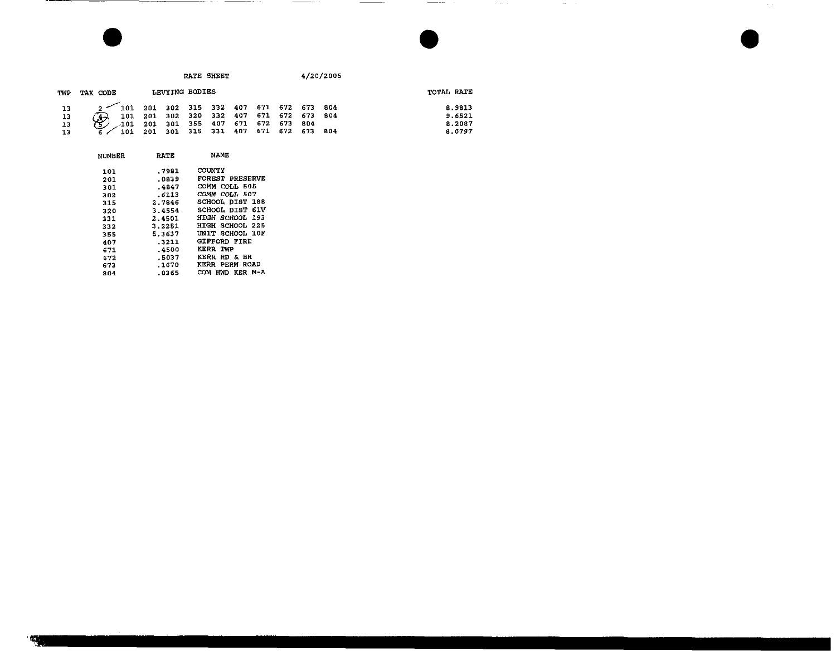|                                                     |                                             |                                                                                                                                  | RATE SHEET |  |  | 4/20/2005 |                                      |
|-----------------------------------------------------|---------------------------------------------|----------------------------------------------------------------------------------------------------------------------------------|------------|--|--|-----------|--------------------------------------|
| TWP                                                 | TAX CODE                                    | LEVYING BODIES                                                                                                                   |            |  |  |           | TOTAL RATE                           |
| 13<br>$\begin{array}{c} 13 \\ 13 \\ 13 \end{array}$ | $2$ 101 201 302 315 332 407 671 672 673 804 | 101 201 302 320 332 407 671 672 673 804<br>$\sim$ 101 201 301 355 407 671 672 673 804<br>101 201 301 315 331 407 671 672 673 804 |            |  |  |           | 8.9813<br>9.6521<br>8.2087<br>8.0797 |

 $\frac{1}{2} \left( \frac{1}{2} \right) \left( \frac{1}{2} \right) \left( \frac{1}{2} \right) \left( \frac{1}{2} \right) \left( \frac{1}{2} \right) \left( \frac{1}{2} \right) \left( \frac{1}{2} \right) \left( \frac{1}{2} \right) \left( \frac{1}{2} \right) \left( \frac{1}{2} \right) \left( \frac{1}{2} \right) \left( \frac{1}{2} \right) \left( \frac{1}{2} \right) \left( \frac{1}{2} \right) \left( \frac{1}{2} \right) \left( \frac{1}{2} \right) \left( \frac$ 

 $\sim 10^{11}$  mass  $\sim 10^{11}$ 

 $\sim$ 

 $\sim$   $\sim$ 

| <b>NUMBER</b> | <b>RATE</b> | NAME                   |
|---------------|-------------|------------------------|
| 101           | .7981       | <b>COUNTY</b>          |
| 201           | .0839       | <b>FOREST PRESERVE</b> |
| 301           | .4847       | COMM COLL 505          |
| 302           | .6113       | COMM COLL 507          |
| 315           | 2.7846      | SCHOOL DIST 188        |
| 320           | 3.4554      | SCHOOL DIST 61V        |
| 331           | 2.4501      | HIGH SCHOOL 193        |
| 332           | 3.2251      | HIGH SCHOOL 225        |
| 355           | 5.3637      | UNIT SCHOOL 10F        |
| 407           | .3211       | GIFFORD FIRE           |
| 671           | .4500       | KERR TWP               |
| 572           | .5037       | KERR<br>RD & BR        |
| 673           | .1670       | KERR PERM ROAD         |
| 804           | .0365       | м-а<br>COM<br>HWD KER  |

œт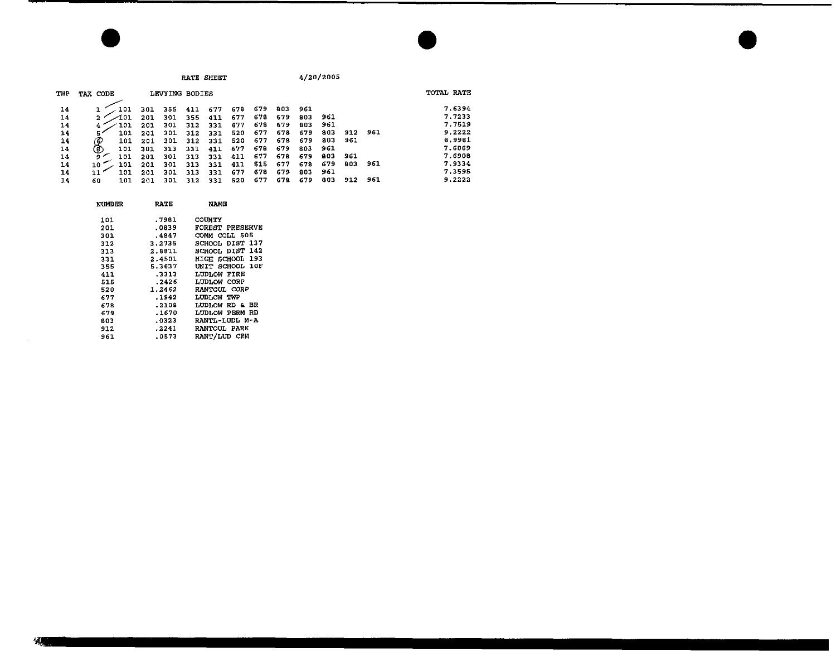| TVP | TAX CODE   |     | LEVYING BODIES |     |     |     |     |     |     |     |     |     | TOTAL RATE |
|-----|------------|-----|----------------|-----|-----|-----|-----|-----|-----|-----|-----|-----|------------|
| 14  |            | 301 | 355            | 411 | 677 | 678 | 679 | 803 | 961 |     |     |     | 7.6394     |
| 14  | 101<br>2   | 201 | 301            | 355 | 411 | 677 | 678 | 679 | 803 | 961 |     |     | 7.7233     |
| 14  | 101        | 201 | 301            | 312 | 331 | 677 | 678 | 679 | 803 | 961 |     |     | 7.7519     |
| 14  | 101<br>5,  | 201 | 301            | 312 | 331 | 520 | 677 | 678 | 679 | 803 | 912 | 961 | 9.2222     |
| 14  | 60<br>101  | 201 | 301            | 312 | 331 | 520 | 677 | 678 | 679 | 803 | 961 |     | 8.9981     |
| 14  | (ව)<br>101 | 301 | 313            | 331 | 411 | 677 | 67B | 679 | 803 | 961 |     |     | 7.6069     |
| 14  | 101<br>، و | 201 | 301            | 313 | 331 | 411 | 677 | 678 | 679 | 803 | 961 |     | 7.6908     |
| 14  | 101<br>10. | 201 | 301            | 313 | 331 | 411 | 515 | 677 | 678 | 679 | 803 | 961 | 7.9334     |
| 14  | 101        | 201 | 301            | 313 | 331 | 677 | 678 | 679 | 803 | 961 |     |     | 7.3595     |
| 14  | 101<br>60  | 201 | 301            | 312 | 331 | 520 | 677 | 678 | 679 | 803 | 912 | 961 | 9.2222     |

| NUMBER | RAIE   | NAME            |
|--------|--------|-----------------|
| 101    | .7981  | <b>COUNTY</b>   |
| 201    | .0839  | FOREST PRESERVE |
| 301    | .4847  | COMM COLL 505   |
| 312    | 3.2735 | SCHOOL DIST 137 |
| 313    | 2.8811 | SCHOOL DIST 142 |
| 331    | 2.4501 | HIGH SCHOOL 193 |
| 355.   | 5.3637 | UNIT SCHOOL 10F |
| 411    | .3313  | LUDLOW FIRE     |
| 515    | .2426  | LUDLOW CORP     |
| 520    | 1.2462 | RANTOUL CORP    |
| 677    | .1942  | LUDLOW TWP      |
| 678    | .2108  | LUDLOW RD & BR  |
| 679    | .1670  | LUDLOW PERM RD  |
| 803    | .0323  | RANTL-LUDL M-A  |
| 912    | .2241  | RANTOUL PARK    |
| 961    | .0573  | RANT/LUD CEM    |
|        |        |                 |

 $\sim 10^{-1}$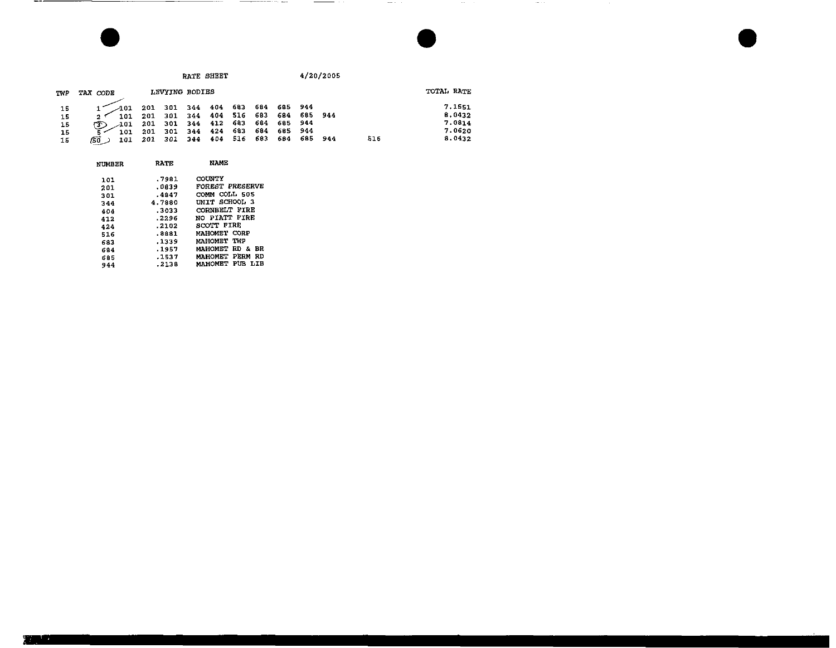|  | RATE SHEET |
|--|------------|
|--|------------|

 $\frac{1}{2}$  and  $\frac{1}{2}$  . In the  $\frac{1}{2}$ 

 $\mathcal{L}^{\mathcal{L}}$  . The set of  $\mathcal{L}^{\mathcal{L}}$ 

 $\mathcal{L}^{\mathcal{L}}$  and  $\mathcal{L}^{\mathcal{L}}$  and  $\mathcal{L}^{\mathcal{L}}$ 

| TWP                        | TAX CODE                                         |     | LEVYING BODIES                                                                                                                                                                  |  |  |  |     | TOTAL RATE |                                                |
|----------------------------|--------------------------------------------------|-----|---------------------------------------------------------------------------------------------------------------------------------------------------------------------------------|--|--|--|-----|------------|------------------------------------------------|
| 15<br>15<br>15<br>15<br>15 | $-101$<br>101<br>-101<br>ത<br>101<br>/5d<br>101. | 201 | 201 301 344 404 683 684 685 944<br>201 301 344 404 516 683 684 685 944<br>201 301 344 412 683 684 685 944<br>301 344 424 683 684 685 944<br>201 301 344 404 516 683 684 685 944 |  |  |  | 516 |            | 7.1551<br>8.0432<br>7.0814<br>7.0620<br>8.0432 |

--------

\_\_\_

| NUMBER | <b>RATE</b> | NAME                   |
|--------|-------------|------------------------|
| 101    | .7981       | COUNTY                 |
| 201    | .0039       | FOREST PRESERVE        |
| 301    | .4847       | COMM COLL 505          |
| 344    | 4.7880      | UNIT SCHOOL 3          |
| 404    | .3033       | CORNBELT FIRE          |
| 412    | .2296       | NO PIATT FIRE          |
| 424    | .2102       | SCOTT FIRE             |
| 516    | .8881       | MAHOMET CORP           |
| 683    | .1339       | MAHOMET TWP            |
| 684    | .1957       | MAHOMET RD & BR        |
| 685    | .1537       | MAHOMET PERM<br>RD     |
| 944    | .2138       | <b>MAHOMET PUB LIB</b> |

--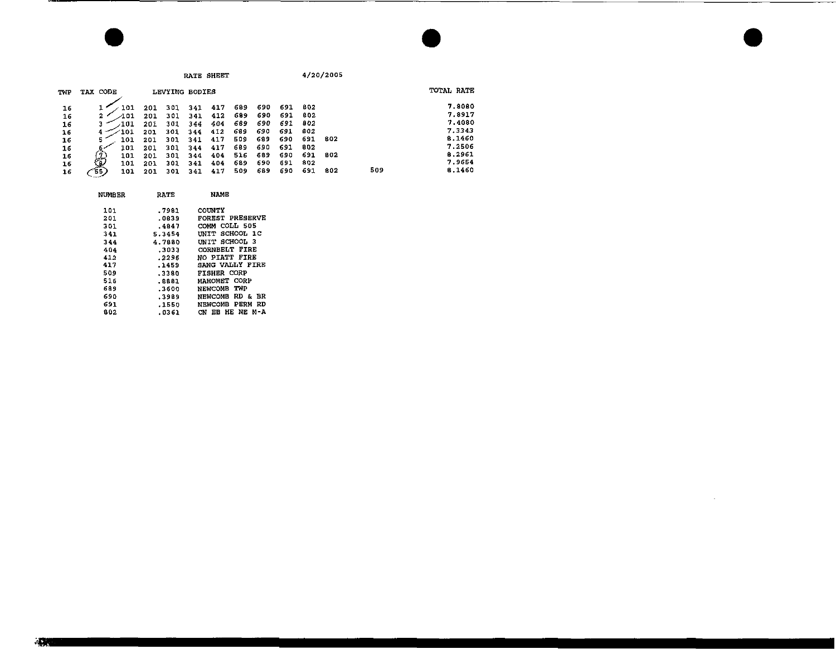|     |          |      |     |                |     | RATE SHEET |     |     |     |     | 4/20/2005 |     |            |        |
|-----|----------|------|-----|----------------|-----|------------|-----|-----|-----|-----|-----------|-----|------------|--------|
| TWP | TAX CODE |      |     | LEVYING BODIES |     |            |     |     |     |     |           |     | TOTAL RATE |        |
| 16  |          | 101  | 201 | 301            | 341 | 417        | 689 | 690 | 691 | 802 |           |     |            | 7.8080 |
| 16  | 2        | ⁄101 | 201 | 301            | 341 | 412        | 689 | 690 | 691 | 802 |           |     |            | 7.8917 |
| 16  |          | -101 | 201 | 301            | 344 | 404        | 689 | 690 | 691 | 802 |           |     |            | 7,4080 |
| 16  |          | 101  | 201 | 301            | 344 | 412        | 689 | 690 | 691 | 802 |           |     |            | 7.3343 |
| 16  | s        | 101  | 201 | 301            | 341 | 417        | 509 | 689 | 690 | 691 | 802       |     |            | 8.1460 |
| 16  |          | 101  | 201 | 301            | 344 | 417        | 689 | 690 | 691 | 802 |           |     |            | 7.2506 |
| 16  |          | 101  | 201 | 301            | 344 | 404        | 516 | 689 | 690 | 691 | 802       |     |            | 8.2961 |
| 16  | 曼        | 101  | 201 | 301            | 341 | 404        | 689 | 690 | 691 | 802 |           |     |            | 7.9654 |
| 16  | '55)     | 101  | 201 | 301            | 341 | 417        | 509 | 689 | 690 | 691 | 802       | 509 |            | 6.1460 |
|     |          |      |     |                |     |            |     |     |     |     |           |     |            |        |

 $\mathcal{L}(\mathcal{L})$  and  $\mathcal{L}(\mathcal{L})$  are the set of the set of  $\mathcal{L}(\mathcal{L})$ 

| <b>NUMBER</b> | <b>RATE</b> | NAME                   |
|---------------|-------------|------------------------|
| 101           | .7981       | COUNTY                 |
| 201           | .0839       | <b>FOREST PRESERVE</b> |
| 301           | .4847       | COMM COLL 505          |
| 341           | 5.3454      | UNIT SCHOOL 1C         |
| 344           | 4.7880      | UNIT SCHOOL 3          |
| 404           | .3033       | CORNEELT FIRE          |
| 412           | . 2295      | NO PIATT FIRE          |
| 417           | .1459       | SANG VALLY FIRE        |
| 509           | .3380       | <b>FISHER CORP</b>     |
| 516           | . 8881      | MAHOMET CORP           |
| 689           | .3600       | NEWCOMB TWP            |
| 690           | .3989       | NEWCOMB RD & BR        |
| 691           | .1550       | NEWCOMB PERM RD        |
| 802           | .0361       | CN EB HE NE M-A        |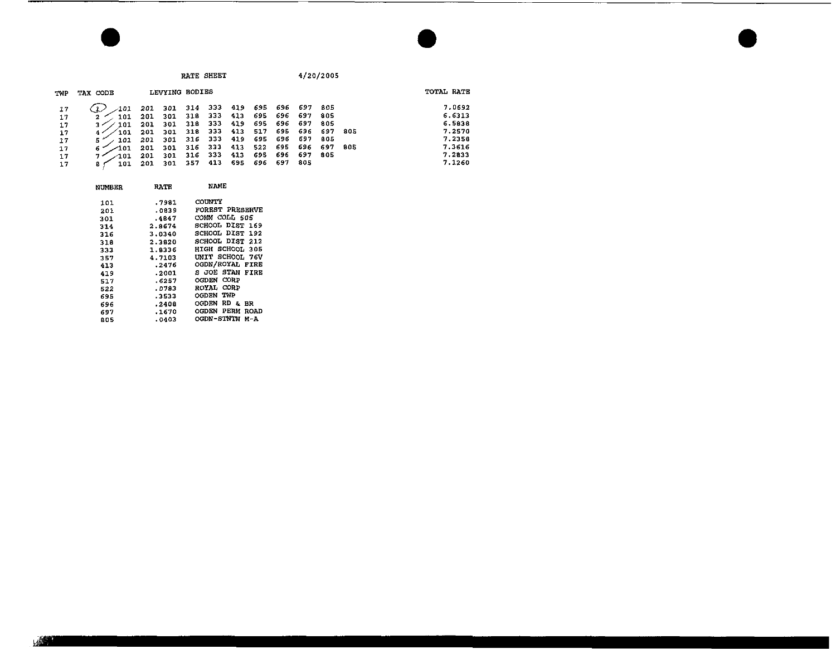**RATE SHEET** 

 $4/20/2005$ 

| TWP | TAX CODE        |     | LEVYING BODIES |         |                         |         |             |             |             |       |      | TOTAL RATE |
|-----|-----------------|-----|----------------|---------|-------------------------|---------|-------------|-------------|-------------|-------|------|------------|
| 17  | -201            | 201 | 301            |         | 314 333 419 695 696 697 |         |             |             |             | -805  |      | 7.0692     |
| 17  | 101             | 201 | 301            | 318     | - 333                   | $-4.13$ | 695 696 697 |             |             | 805   |      | 6.6313     |
| 17  | 101             | 201 | 301            | -318    | - 333                   | 419     |             | 695 696 697 |             | 805   |      | 6.5838     |
| 17  | $^{\prime}$ 101 | 201 | 301            | 318 333 |                         | 413     | 517         |             | 695 696 697 |       | -805 | 7.2570     |
| 17  | 101             | 201 | 301            | 316 333 |                         | 419     |             | 695 696 697 |             | - 805 |      | 7.2358     |
| 17  | 101 م           | 201 | 301            | 316 333 |                         | 413     | 522         | 695         | 696         | 697   | 805  | 7.3616     |
| 17  | $\angle$ 101    | 201 | 301            |         | 316 333                 | 413     |             | 695 696 697 |             | 805   |      | 7.2833     |
| 17  | 101             | 201 | 301            | 357 413 |                         |         | 695 696 697 |             | - 805       |       |      | 7.1260     |

| <b>NUMBER</b> | <b>RATE</b> | NAME                            |
|---------------|-------------|---------------------------------|
| 101           | .7981       | COUNTY                          |
| 201           | .0839       | FOREST PRESERVE                 |
| 301           | .4847       | COMM COLL 505                   |
| 314           | 2.8674      | SCHOOL DIST 169                 |
| 316           | 3.0340      | SCHOOL DIST 192                 |
| 318           | 2,3820      | SCHOOL DIST 212                 |
| 333           | 1.8336      | HIGH SCHOOL 305                 |
| 357           | 4.7103      | UNIT SCHOOL 76V                 |
| 413           | . 2476      | OGDN/ROYAL FIRE                 |
| 419           | .2001       | S JOE STAN FIRE                 |
| 517           | .6257       | CORP<br><b>OGDEN</b>            |
| 522           | .0783       | CORP<br><b>ROYAL</b>            |
| 695           | .3533       | TWP<br>OGDEN                    |
| 696           | .2408       | RD.<br><b>OGDEN</b><br>õ.<br>вк |
| 697           | .1670       | PERM<br><b>OGDEN</b><br>ROAD    |
| 80 S          | 0403ء       | OGDN-STNTN<br>м-А               |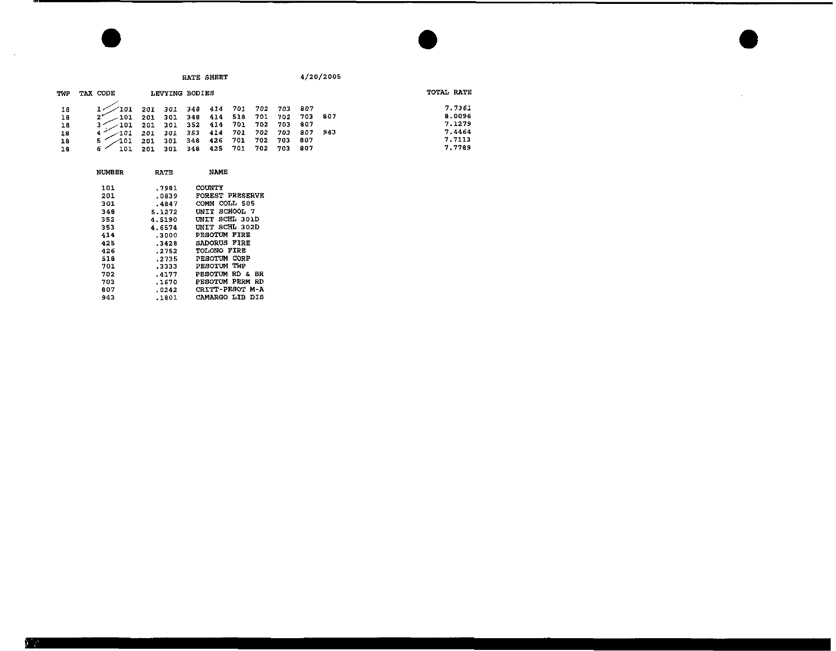|     |          |     |     |                | RATE SHEET |     |     |     |     | 4/20/2005 |            |
|-----|----------|-----|-----|----------------|------------|-----|-----|-----|-----|-----------|------------|
| TWP | TAX CODE |     |     | LEVYING BODIES |            |     |     |     |     |           | TOTAL RATE |
| 16  | 101      | 201 | 301 | 346            | 414        | 701 | 702 | 703 | 807 |           | 7.7361     |
| 18  | 101      | 201 | 301 | $-48$          | 414        | 518 | 701 | 702 | 703 | -807      | 8.0096     |
| 18  | 101      | 201 | 301 | 352            | 414        | 701 | 702 | 703 | 807 |           | 7.1279     |
| 18  | 101      | 201 | 301 | 353            | 414        | 701 | 702 | 703 | 807 | 943       | 7.4464     |
| 18  | 101<br>5 | 201 |     | 348            | 426        | 701 | 702 | 703 | 807 |           | 7.7113     |
| 18  | 1 ຕ1     |     |     | 348            | 425        | 701 | 702 | 703 | 807 |           | 7.7789     |

 $\Delta \phi$ 

| NUMBER. | RATE   | NAME                      |
|---------|--------|---------------------------|
| 101     | .7981  | COUNTY                    |
| 201     | .0839  | FOREST PRESERVE           |
| 301     | . 4847 | COMM COLL 505             |
| 348     | 5.1272 | UNIT SCHOOL 7             |
| 352     | 4.5190 | INIT SCHL 301D            |
| 353     | 4.6574 | INIT SCHL 302D            |
| 414     | .3000  | PESOTUM FIRE              |
| 425     | .3428  | SADORUS FIRE              |
| 426     | . 2752 | TOLONO FIRE               |
| 518     | .2735  | PESOTUM CORP              |
| 701     | .3333  | TWP<br>PESOTUM            |
| 702     | . 4177 | PESOTUM RD & BR           |
| 703     | .1670  | PESOTUM PERM<br>RD        |
| 807     | .0242  | <b>CRITT-PESOT</b><br>M-A |
| 943     | .1801  | CAMARGO LIB<br>DIS        |

 $\mathcal{A}$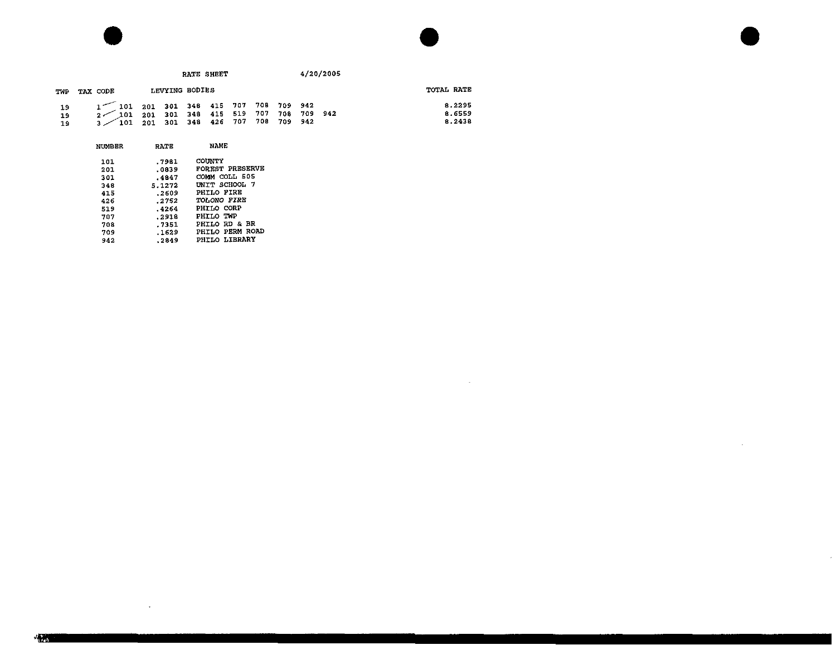

 $\sim$ 



 $\bar{z}$ 

## RATE SHEET 4/20/2005 TWP TAX CODE LEVYING BODIES TOTAL RATE 8.2295 19 1'101 201 301 348 415 707 708 709 942 19 2/ 01 201 301 348 415 519 707 708 709 942 19 3k01 201 301 348 426 707 708 709 942  $8.6559$ <br> $8.2438$

| <b>NUMBER</b> | RATE   | NAME                     |  |  |  |  |
|---------------|--------|--------------------------|--|--|--|--|
| 101           | .7981  | COUNTY                   |  |  |  |  |
| 201           | .0839  | <b>FOREST PRESERVE</b>   |  |  |  |  |
| 301           | .4847  | COMM COLL 505            |  |  |  |  |
| 348           | 5.1272 | UNIT SCHOOL 7            |  |  |  |  |
| 415           | .2609  | PHILO FIRE               |  |  |  |  |
| 426           | .2752  | TOLONO FIRE              |  |  |  |  |
| 519           | .4264  | PHILO CORP               |  |  |  |  |
| 707           | .2918  | PHILO TWP                |  |  |  |  |
| 708           | . 7351 | <b>PHILO RD &amp; BR</b> |  |  |  |  |
| 709           | .1629  | <b>PHILO PERM ROAD</b>   |  |  |  |  |
| 942           | .2849  | PHILO LIBRARY            |  |  |  |  |

 $\sim 10^{-1}$ 

×秘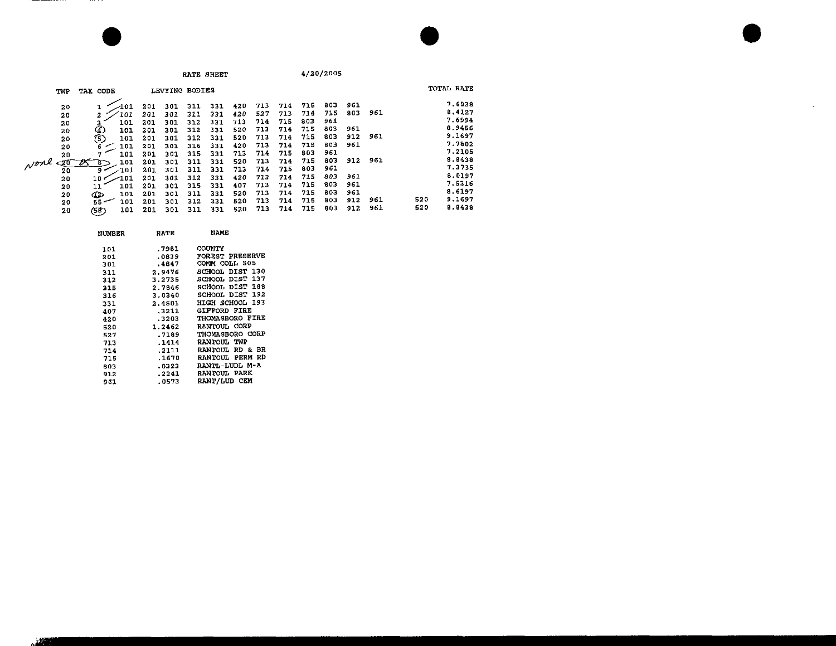|                                                                               |                                                                                                                            |                                                                                  |                                                                                  |                                                                                  | RATE SHEET                                                                       |                                                                                  |                                                                                  |                                                                                  |                                                                                  | 4/20/2005                                                                        |                                                             |                   |            |                                                                                                                      |
|-------------------------------------------------------------------------------|----------------------------------------------------------------------------------------------------------------------------|----------------------------------------------------------------------------------|----------------------------------------------------------------------------------|----------------------------------------------------------------------------------|----------------------------------------------------------------------------------|----------------------------------------------------------------------------------|----------------------------------------------------------------------------------|----------------------------------------------------------------------------------|----------------------------------------------------------------------------------|----------------------------------------------------------------------------------|-------------------------------------------------------------|-------------------|------------|----------------------------------------------------------------------------------------------------------------------|
| TWP                                                                           | TAX CODE                                                                                                                   |                                                                                  | LEVYING BODIES                                                                   |                                                                                  |                                                                                  |                                                                                  |                                                                                  |                                                                                  |                                                                                  |                                                                                  |                                                             |                   |            | TOTAL RATE                                                                                                           |
| 20<br>20<br>20<br>20<br>20<br>20<br>20<br>vone<br>-20<br>20<br>20<br>20<br>20 | -101<br>101<br>2<br>101<br>101<br>101<br>101<br>6<br>101<br>101<br>87<br>101<br>9<br>101<br>م 10<br>101<br>11<br>Œ,<br>101 | 201<br>201<br>201<br>201<br>201<br>201<br>201<br>201<br>201<br>201<br>201<br>201 | 301<br>301<br>301<br>301<br>301<br>301<br>301<br>301<br>301<br>301<br>301<br>301 | 311<br>311<br>312<br>312<br>312<br>316<br>315<br>311<br>311<br>312<br>315<br>311 | 331<br>331<br>331<br>331<br>331<br>331<br>331<br>331<br>331<br>331<br>331<br>331 | 420<br>420<br>713<br>520<br>520<br>420<br>713<br>520<br>713<br>420<br>407<br>520 | 713<br>527<br>714<br>713<br>713<br>713<br>714<br>713<br>714<br>713<br>713<br>713 | 714<br>713<br>715<br>714<br>714<br>714<br>715<br>714<br>715<br>714<br>714<br>714 | 715<br>714<br>803<br>715<br>715<br>715<br>803<br>715<br>803<br>715<br>715<br>715 | 803<br>715<br>961<br>803<br>803<br>803<br>961<br>803<br>961<br>803<br>803<br>803 | 961<br>803<br>961<br>912<br>961<br>912<br>961<br>961<br>961 | 961<br>961<br>961 |            | 7.6938<br>8.4127<br>7.6994<br>8.9456<br>9.1697<br>7.7802<br>7.2105<br>8.8438<br>7.3735<br>8.0197<br>7.5316<br>8.6197 |
| 20<br>20                                                                      | 101<br>$55 -$<br>(SP)<br>101                                                                                               | 201<br>201                                                                       | 301<br>301                                                                       | 312<br>311                                                                       | 331<br>331                                                                       | 520<br>520                                                                       | 713<br>713                                                                       | 714<br>714                                                                       | 715<br>715                                                                       | 803<br>803                                                                       | 912<br>912                                                  | 961<br>961        | 520<br>520 | 9.1697<br>8.8438                                                                                                     |

| NUMBER | <b>RATE</b> | NAME                          |  |  |  |  |
|--------|-------------|-------------------------------|--|--|--|--|
| 101    | .7981       | <b>COUNTY</b>                 |  |  |  |  |
| 201    | .0839       | FOREST PRESERVE               |  |  |  |  |
| 301    | .4847       | COMM COLL 505                 |  |  |  |  |
| 311    | 2.9476      | <b>SCHOOL DIST 130</b>        |  |  |  |  |
| 312    | 3.2735      | DIST 137<br>SCHOOL            |  |  |  |  |
| 315    | 2.7646      | SCHOOL DIST 188               |  |  |  |  |
| 316    | 3.0340      | SCHOOL DIST 192               |  |  |  |  |
| 331    | 2.4501      | 193<br>HIGH SCHOOL            |  |  |  |  |
| 407    | .3211       | <b>GIFFORD FIRE</b>           |  |  |  |  |
| 420    | .3203       | THOMASBORO FIRE               |  |  |  |  |
| 520    | 1 2462      | RANTOUL CORP                  |  |  |  |  |
| 527    | .7189       | THOMASBORO CORP               |  |  |  |  |
| 713    | .1414       | RANTOUL TWP                   |  |  |  |  |
| 714    | . 2111      | <b>RANTOUL RD &amp;</b><br>вR |  |  |  |  |
| 715    | .1670       | RD<br><b>RANTOUL PERM</b>     |  |  |  |  |
| 803    | .0323       | RANTL-LUDL M-A                |  |  |  |  |
| 912    | .2241       | <b>RANTOUL PARK</b>           |  |  |  |  |
| 961    | .0573       | <b>RANT/LUD</b><br>CEM        |  |  |  |  |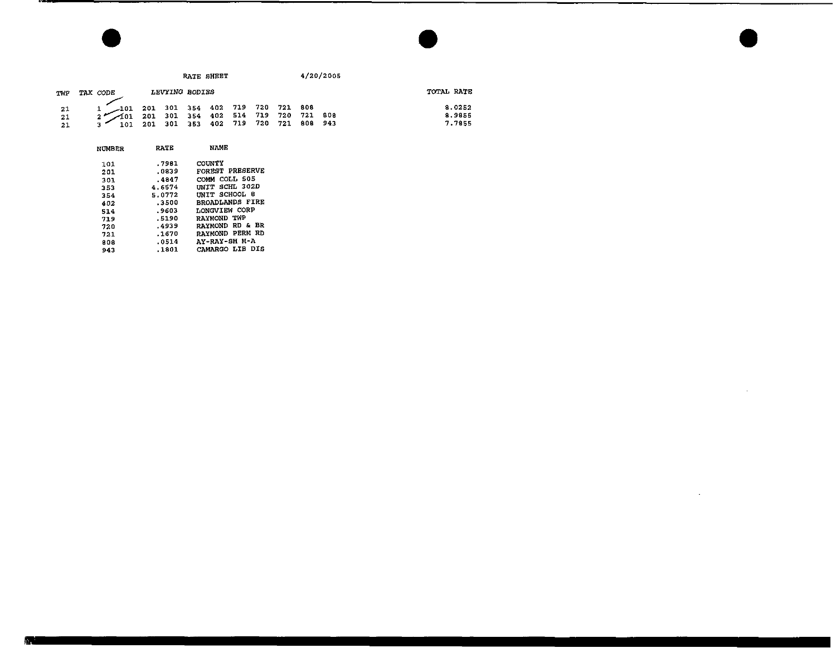|                                               |            | RATE SHEET                                                                                                                                                                                                                                                                                                                                                                                                                                                                                    | 4/20/2005 |                            |  |  |
|-----------------------------------------------|------------|-----------------------------------------------------------------------------------------------------------------------------------------------------------------------------------------------------------------------------------------------------------------------------------------------------------------------------------------------------------------------------------------------------------------------------------------------------------------------------------------------|-----------|----------------------------|--|--|
| TWP                                           | TAX CODE   | LEVYING BODIES                                                                                                                                                                                                                                                                                                                                                                                                                                                                                |           | TOTAL RATE                 |  |  |
| $\begin{array}{c} 21 \\ 21 \end{array}$<br>21 | $\sim$ 101 | $\begin{array}{cccccccc} \textcolor{red}{\textbf{-101}} & \textcolor{red}{201} & \textcolor{red}{301} & \textcolor{red}{354} & \textcolor{red}{402} & \textcolor{red}{719} & \textcolor{red}{720} & \textcolor{red}{721} & \textcolor{red}{808} \\ \textcolor{red}{\textbf{-101}} & \textcolor{red}{201} & \textcolor{red}{301} & \textcolor{red}{354} & \textcolor{red}{402} & \textcolor{red}{514} & \textcolor{red}{719} & \textcolor{red}{720} & \textcolor{red}{721} & \textcolor{red}{$ |           | 8.0252<br>8.9855<br>7.7855 |  |  |

 $\sim 10^7$ 

| NUMBER     | <b>RATE</b>      | NAME                                    |  |  |  |  |  |
|------------|------------------|-----------------------------------------|--|--|--|--|--|
| 101        | .7981<br>.0839   | COUNTY<br>FOREST PRESERVE               |  |  |  |  |  |
| 201<br>301 | .4847            | COMM COLL 505                           |  |  |  |  |  |
| 353<br>354 | 4.6574<br>5.0772 | INIT SCHL 302D<br>UNIT SCHOOL<br>- 8    |  |  |  |  |  |
| 402<br>514 | .3500<br>. 9603  | <b>BROADLANDS FIRE</b><br>LONGVIEW CORP |  |  |  |  |  |
| 719<br>720 | .5190<br>.4939   | RAYMOND TWP<br>RAYMOND RD & BR          |  |  |  |  |  |
| 721        | .1670            | RAYMOND PERM RD<br>AY-RAY-SH M-A        |  |  |  |  |  |
| 808<br>943 | .0514<br>.1801   | CAMARGO LIB DIS                         |  |  |  |  |  |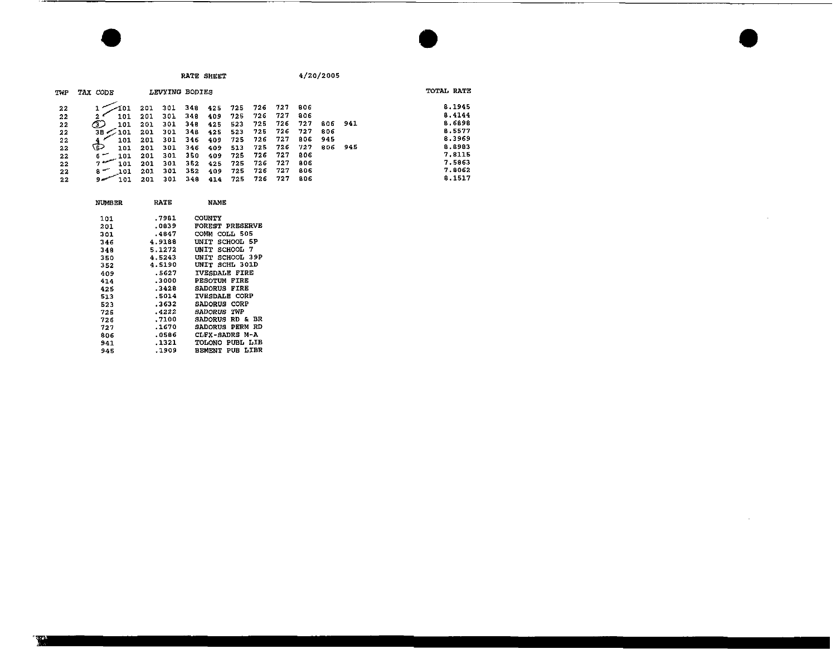**RATE SHEET** 

 $4/20/2005$ 

 $\sim$ 

 $\sim$ 

| TWP | TAX CODE            |      |     | LEVYING BODIES |     |     |     |     |     |     |     | TOTAL RATE |
|-----|---------------------|------|-----|----------------|-----|-----|-----|-----|-----|-----|-----|------------|
| 22  |                     | 201  | 301 | 348            | 425 | 725 | 726 | 727 | 806 |     |     | 8.1945     |
| 22  | 101<br>2 '          | 201  | 301 | 348            | 409 | 725 | 726 | 727 | 806 |     |     | 8.4144     |
| 22  | 3.<br>101           | 201  | 301 | 348            | 425 | 523 | 725 | 726 | 727 | 806 | 941 | 8.6898     |
| 22  | ЗΕ.<br>201          | -201 | 301 | 348            | 425 | 523 | 725 | 726 | 727 | 806 |     | 8.5577     |
| 22  | 101                 | 201  | 301 | 346            | 409 | 725 | 726 | 727 | 806 | 945 |     | 8.3969     |
| 22  | دئ<br>101           | 201  | 301 | 346            | 409 | 513 | 725 | 726 | 727 | 806 | 945 | 8.8983     |
| 22  | 6 -<br>101          | 201  | 301 | 350            | 409 | 725 | 726 | 727 | 806 |     |     | 7.8115     |
| 22  | $7 -$<br>101        | 201  | 301 | 352            | 425 | 725 | 726 | 727 | 806 |     |     | 7.5863     |
| 22  | $\mathbf{a}$<br>101 | 201  | 301 | 352            | 409 | 725 | 726 | 727 | 806 |     |     | 7.8062     |
| 22  | 101                 | 201  | 301 | 348            | 414 | 725 | 726 | 727 | 806 |     |     | 8.1517     |

| NUMBER | RATE   | NAME                   |
|--------|--------|------------------------|
| 101    | .7981  | <b>COUNTY</b>          |
| 201    | -0839  | <b>FOREST PRESERVE</b> |
| 301    | .4847  | COMM COLL 505          |
| 346    | 4.9188 | UNIT SCHOOL 5P         |
| 348    | 5.1272 | UNIT SCHOOL 7          |
| 350    | 4.5243 | UNIT SCHOOL 39P        |
| 352    | 4.5190 | UNIT SCHL 301D         |
| 409    | .5627  | <b>IVESDALE FIRE</b>   |
| 414    | ,3000  | PESOTUM FIRE           |
| 425    | .3428  | <b>SADORUS FIRE</b>    |
| 513    | .5014  | <b>IVESDALE CORP</b>   |
| 523    | .3632  | SADORUS CORP           |
| 725    | .4222  | SADORUS TWP            |
| 726    | ,7100  | SADORUS RD & BR        |
| 727    | .1670  | <b>SADORUS PERM RD</b> |
| 806    | .0586  | CLFX-SADRS M-A         |
| 941    | .1321  | TOLONO PUBL LIB        |
| 945    | .1909  | <b>BEMENT PUB LIBR</b> |
|        |        |                        |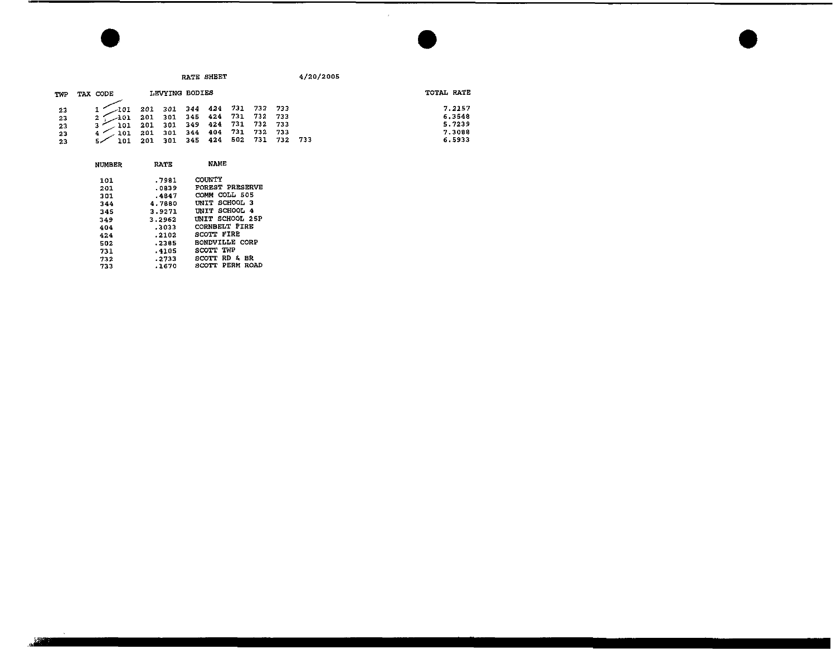| TWP                  | TAX CODE                                                                                                                                    |                                    | LEVYING BODIES              |  |  | TOTAL RATE       |
|----------------------|---------------------------------------------------------------------------------------------------------------------------------------------|------------------------------------|-----------------------------|--|--|------------------|
| 2 <sup>2</sup>       | $\begin{array}{ ccccccccccccccccccc }\hline &101&201&301&344&424&731&732&733\\ \hline 101&201&301&345&424&731&732&733\\ \hline \end{array}$ |                                    |                             |  |  | 7.2157<br>6.3548 |
| 2 <sub>3</sub><br>23 | - 101                                                                                                                                       | 201 301 349 424 731 732 733        |                             |  |  | 5.7239           |
| 2 <sup>3</sup><br>23 | $-101$<br>101                                                                                                                               | 201 301 344 404 731 732 733<br>201 | 301 345 424 502 731 732 733 |  |  | 7.3088<br>6.5933 |

| NUMBER | RATE   | NAME                    |  |  |  |  |
|--------|--------|-------------------------|--|--|--|--|
| 101    | .7981  | COUNTY                  |  |  |  |  |
| 201    | . 0839 | FOREST PRESERVE         |  |  |  |  |
| 301    | .4847  | COMM COLL 505           |  |  |  |  |
| 344    | 4.7880 | UNIT SCHOOL 3           |  |  |  |  |
| 345    | 3.9271 | UNIT SCHOOL 4           |  |  |  |  |
| 349    | 3.2962 | UNIT SCHOOL 25P         |  |  |  |  |
| 404    | . 3023 | <b>CORNBELT FIRE</b>    |  |  |  |  |
| 424    | .2102  | SCOTT FIRE              |  |  |  |  |
| 502    | .2385  | RONDVILLE CORP          |  |  |  |  |
| 731    | .4105  | SCOTT TWP               |  |  |  |  |
| 732    | .2733  | RD & BR<br><b>SCOTT</b> |  |  |  |  |
| 733    | .1670  | PERM<br>ROAD<br>SCOTT.  |  |  |  |  |

 $5 - 125$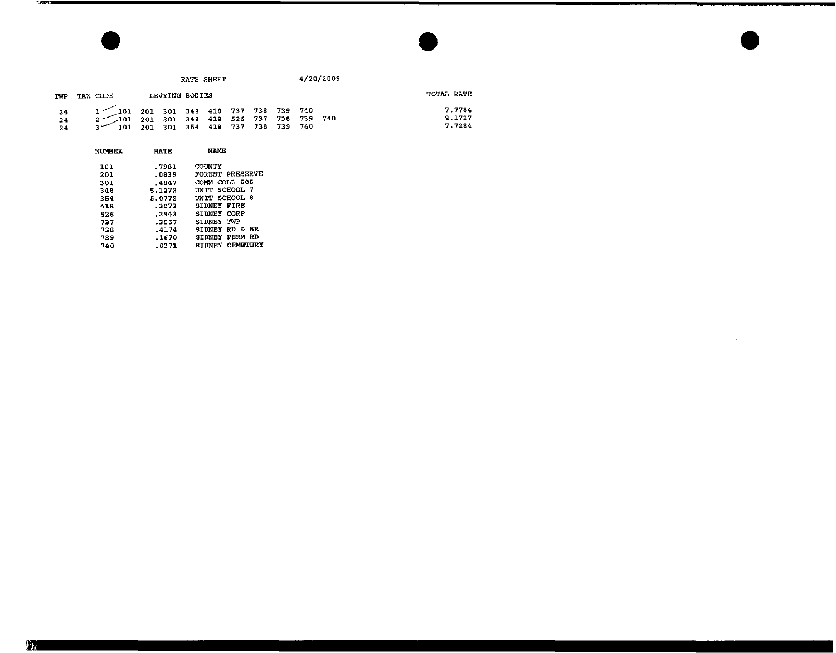|                |          |                                                                                                                                                                                                                                                                                                                                                                        | RATE SHEET | 4/20/2005 |                            |
|----------------|----------|------------------------------------------------------------------------------------------------------------------------------------------------------------------------------------------------------------------------------------------------------------------------------------------------------------------------------------------------------------------------|------------|-----------|----------------------------|
| TWP            | TAX CODE | LEVYING BODIES                                                                                                                                                                                                                                                                                                                                                         |            |           | TOTAL RATE                 |
| 24<br>24<br>24 |          | $\begin{array}{cccccccc} 1 & \hspace{1.5mm} \textbf{101} & \hspace{1.5mm} 201 & \hspace{1.5mm} 301 & \hspace{1.5mm} 348 & \hspace{1.5mm} 418 & \hspace{1.5mm} 737 & \hspace{1.5mm} 738 & \hspace{1.5mm} 739 & \hspace{1.5mm} 740 \\ 2 & \hspace{1.5mm} \begin{array}{cccccccc} 101 & \hspace{1.5mm} 201 & \hspace{1.5mm} 301 & \hspace{1.5mm} 348 & \hspace{1.5mm} 41$ |            |           | 7.7784<br>8.1727<br>7.7284 |

 $\sim 10^7$ 

| NUMBER | RATE    | NAME                      |
|--------|---------|---------------------------|
| 101    | .7981   | COUNTY                    |
| 201    | .0839   | <b>FOREST PRESERVE</b>    |
| 301    | $-4847$ | COMM COLL 505             |
| 348    | 5.1272  | UNIT SCHOOL 7             |
| 354    | 5.0772  | UNIT SCHOOL 8             |
| 418    | .3073   | SIDNEY FIRE               |
| 526    | .3943   | SIDNEY CORP               |
| 737    | .3557   | SIDNEY TWP                |
| 738    | .4174   | <b>SIDNEY RD &amp; BR</b> |
| 739    | .1670   | PERM RD<br>SIDNEY         |
| 740    | .0371   | SIDNEY CEMETERY           |

 $\sim 100$ 

-2022-00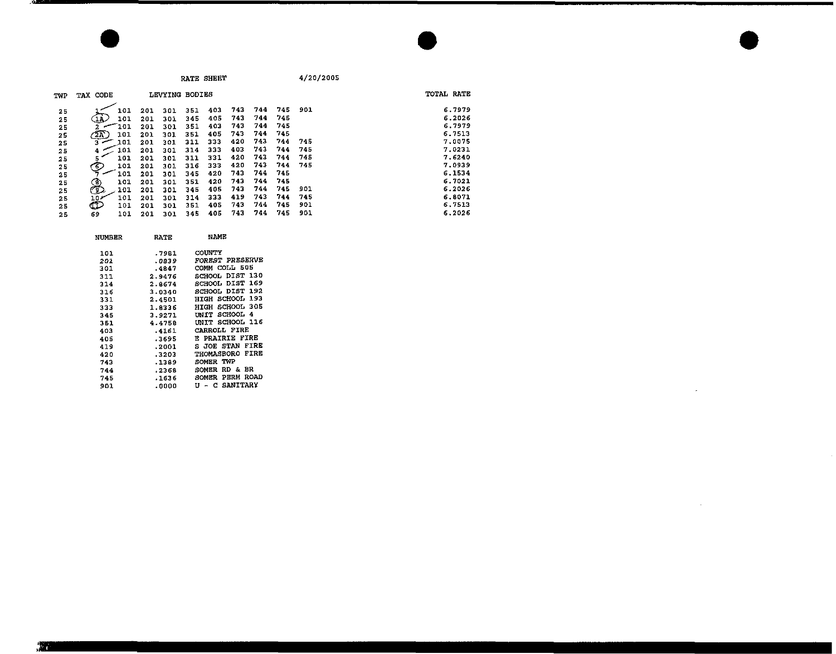**RATE SHBET** 

4/20/2005

 $\overline{\phantom{a}}$ 

÷.

| TWP | TAX CODE |     |     | LEVYING BODIES |     |     |     |     |     |     | TOTAL RATE |
|-----|----------|-----|-----|----------------|-----|-----|-----|-----|-----|-----|------------|
| 25  |          | 101 | 201 | 301            | 351 | 403 | 743 | 744 | 745 | 901 | 6.7979     |
| 25  | 1Ā.      | 101 | 201 | 301            | 345 | 405 | 743 | 744 | 745 |     | 6.2026     |
| 25  |          | 101 | 201 | 301            | 351 | 403 | 743 | 744 | 745 |     | 6.7979     |
| 25  | 2E       | 101 | 201 | 301            | 351 | 405 | 743 | 744 | 745 |     | 6.7513     |
| 25  | з        | 101 | 201 | 301            | 311 | 333 | 420 | 743 | 744 | 745 | 7.0075     |
| 25  | 4        | 101 | 201 | 301            | 314 | 333 | 403 | 743 | 744 | 745 | 7.0231     |
| 25  |          | 101 | 201 | 301            | 311 | 331 | 420 | 743 | 744 | 745 | 7.6240     |
| 25  | (6)      | 101 | 201 | 301            | 316 | 333 | 420 | 743 | 744 | 745 | 7.0939     |
| 25  |          | 101 | 201 | 301            | 345 | 420 | 743 | 744 | 745 |     | 6.1534     |
| 25  |          | 101 | 201 | 301            | 351 | 420 | 743 | 744 | 745 |     | 6.7021     |
| 25  | த        | 101 | 201 | 301            | 345 | 405 | 743 | 744 | 745 | 901 | 6.2026     |
| 25  | ∕ 10     | 101 | 201 | 301            | 314 | 333 | 419 | 743 | 744 | 745 | 6.8071     |
| 25  | Œ        | 101 | 201 | 301            | 351 | 405 | 743 | 744 | 745 | 901 | 6.7513     |
| 25  | 69       | 101 | 201 | 301            | 345 | 405 | 743 | 744 | 745 | 901 | 6.2026     |

| <b>NUMBER</b> | RATE   | NAME                       |
|---------------|--------|----------------------------|
| 101           | .7981  | COUNTY                     |
| 201           | .0839  | <b>FOREST PRESERVE</b>     |
| 301           | .4847  | COMM COLL 505              |
| 311           | 2.9476 | SCHOOL DIST 130            |
| 314           | 2.8674 | SCHOOL DIST 169            |
| 316           | 3.0340 | SCHOOL DIST 192            |
| 331           | 2.4501 | <b>HIGH SCHOOL 193</b>     |
| 333           | 1.8336 | SCHOOL 305<br>нтсн         |
| 345           | 3.9271 | INIT SCHOOL<br>4           |
| 351           | 4.4758 | UNIT SCHOOL 116            |
| 403           | .4161  | <b>CARROLL FIRE</b>        |
| 405           | .3695  | PRAIRIE FIRE<br>E.         |
| 419           | .2001  | FIRE<br>S JOE STAN         |
| 420           | .3203  | <b>THOMASBORO FIRE</b>     |
| 743           | .1389  | SOMER TWP                  |
| 744           | .2368  | RD & BR<br>SOMER           |
| 745           | .1636  | <b>PERM ROAD</b><br>SOMER  |
| 901           | 0000 ه | <b>SANITARY</b><br>U<br>-C |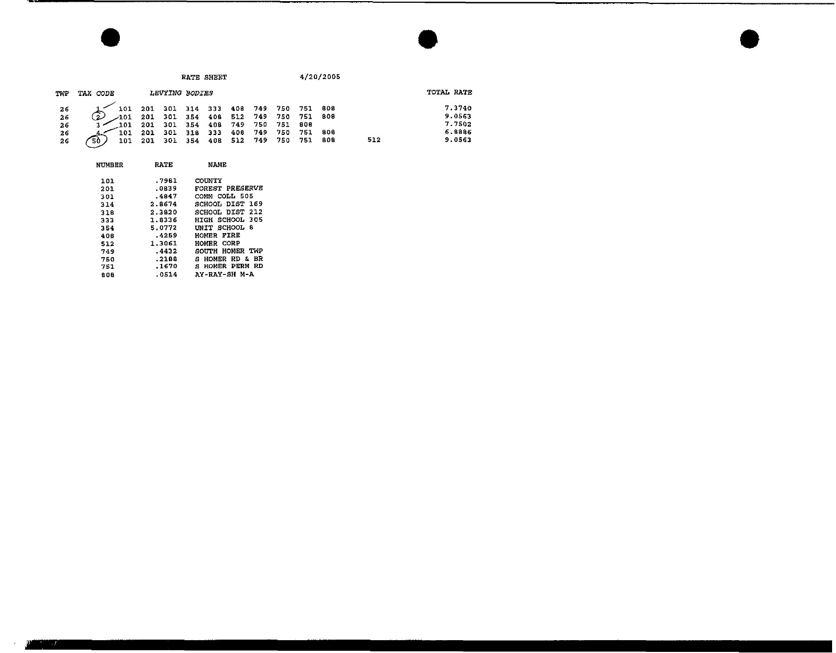|                 |           |                   |                | RATE SHEET      |     |       |     | 4/20/2005 |      |     |            |  |
|-----------------|-----------|-------------------|----------------|-----------------|-----|-------|-----|-----------|------|-----|------------|--|
| TWP             | TAX CODE  |                   | LEVYING BODIES |                 |     |       |     |           |      |     | TOTAL RATE |  |
|                 | 101       | 201               | 301 314 333    |                 | 408 | 749   | 750 | - 751     | 808  |     | 7.3740     |  |
| $\frac{26}{26}$ |           | 301<br>201        |                | 354 408 512 749 |     |       | 750 | 751       | -808 |     | 9.0563     |  |
| 26              | 101       | 301<br><b>201</b> | 354            | 408             | 749 | 750   | 751 | 808       |      |     | 7.7502     |  |
| 26              | 101       | 301<br>201        | 318            | 333             | 408 | 749   | 750 | 751       | 308  |     | 6.8886     |  |
| 26              | 101<br>50 | 301<br>201        | 354            | 40 B            | 512 | - 749 | 750 | 751       | 808  | 512 | 9.0563     |  |

| NUMBER | RATE   | NAME                       |
|--------|--------|----------------------------|
| 101    | .7981  | COUNTY                     |
| 201    | -0839  | <b>FOREST PRESERVE</b>     |
| 301    | .4847  | COMM COLL 505              |
| 314    | 2.8674 | SCHOOL DIST 169            |
| 318    | 2.3820 | SCHOOL DIST 212            |
| 333    | 1.8336 | HIGH SCHOOL 305            |
| 354    | 5.0772 | UNIT SCHOOL 8              |
| 408    | .4259  | HOMER FIRE                 |
| 512    | 1.3061 | HOMER CORP                 |
| 749    | .4432  | SOUTH HOMER TWP            |
| 750    | .2188  | <b>S HOMER RD &amp; BR</b> |
| 751    | .1670  | S HOMER PERM RD            |
| 808    | .0514  | AY-RAY-SH M-A              |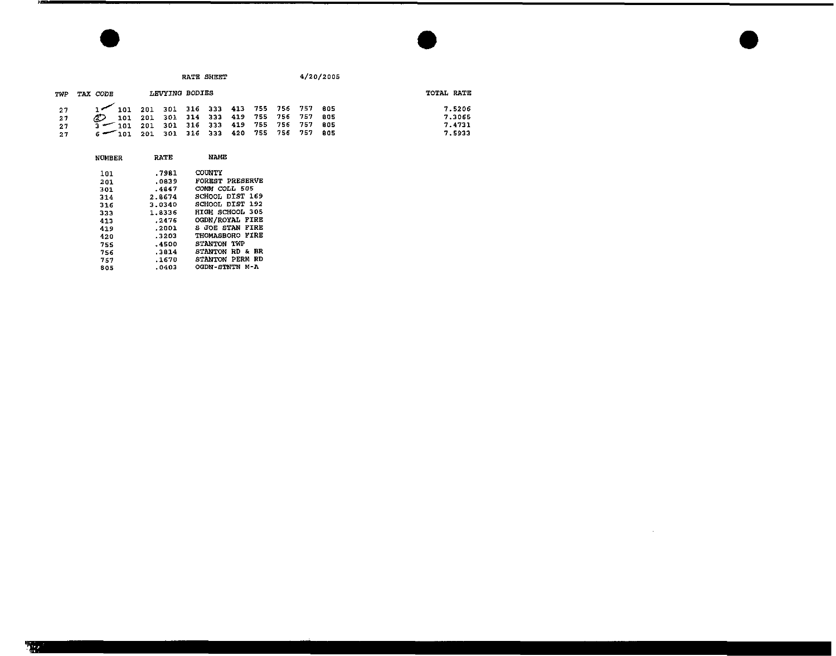|          |            |                                                                        | RATE SHEET                     |     |                            | 4/20/2005    |                  |
|----------|------------|------------------------------------------------------------------------|--------------------------------|-----|----------------------------|--------------|------------------|
| TWP      | TAX CODE   | LEVYING BODIES                                                         |                                |     |                            |              | TOTAL RATE       |
| 27<br>27 | 101<br>101 | 201 301 316 333 413 755 756 757 805<br>201 301 314 333 419 755 756 757 |                                |     |                            | -805         | 7.5206<br>7.3065 |
| 21<br>27 | 101        | 201<br>201                                                             | 301 316 333 419<br>301 316 333 | 420 | 755 756 757<br>755 756 757 | -805<br>-805 | 7.4731<br>7.5933 |

| <b>NUMERR</b> | <b>RATE</b> | NAME                       |
|---------------|-------------|----------------------------|
| 101           | .7981       | <b>COUNTY</b>              |
| 201           | .0839       | <b>FOREST PRESERVE</b>     |
| 301           | .4847       | COMM COLL 505              |
| 314           | 2.8674      | SCHOOL DIST 169            |
| 316           | 3.0340      | SCHOOL DIST 192            |
| 333           | 1.8336      | HIGH SCHOOL 305            |
| 413           | .2476       | <b>OGDN/ROYAL FIRE</b>     |
| 419           | .2001       | <b>S JOE STAN FIRE</b>     |
| 420           | .3203       | THOMASBORO FIRE            |
| 755           | .4500       | STANTON TWP                |
| 756           | .3814       | <b>STANTON RD &amp; BR</b> |
| 757           | .1670       | STANTON PERM RD            |
| 805           | .0403       | OGDN-STNTN M-A             |
|               |             |                            |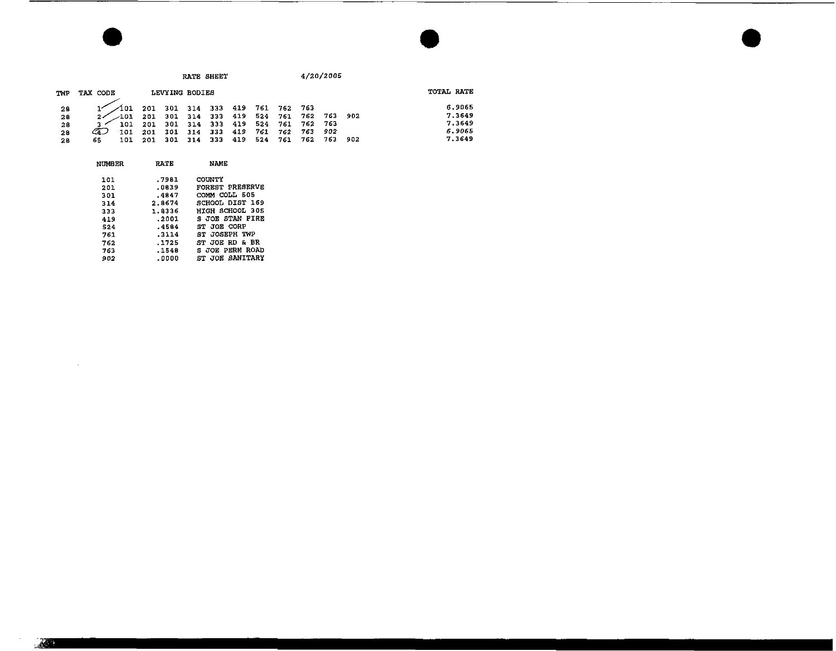| TWP | TAX CODE                                                                                                                                                            |     | LEVYING BODIES |     |         |         |                     |           |       | TOTAL RATE |
|-----|---------------------------------------------------------------------------------------------------------------------------------------------------------------------|-----|----------------|-----|---------|---------|---------------------|-----------|-------|------------|
| 28  |                                                                                                                                                                     |     |                |     |         |         |                     |           |       | 6.9065     |
| 28  | $\begin{array}{ccccccc} \sqrt{1}01 & 201 & 301 & 314 & 333 & 419 & 761 & 762 & 763 \\ \sqrt{1}01 & 201 & 301 & 314 & 333 & 419 & 524 & 761 & 762 & 763 \end{array}$ |     |                |     |         |         |                     |           | - 902 | 7.3649     |
| 28  | $3 < 101$ 201 301 314 333 419 524 761 762 763                                                                                                                       |     |                |     |         |         |                     |           |       | 7.3649     |
| 28  | CA J<br>101                                                                                                                                                         |     | 201 301 314    |     |         |         | 333 419 761 762 763 | - 902     |       | 6.9065     |
| 28  | 101<br>65                                                                                                                                                           | 201 | 301            | 314 | 333 419 | 524 761 | 762                 | $4.763 -$ | -902  | 7.3649     |

| NUMBER | RATE   | NAME                   |
|--------|--------|------------------------|
| 101    | .7981  | COUNTY                 |
| 201    | .0839  | FOREST PRESERVE        |
| 301    | .4847  | COMM COLL 505          |
| 314    | 2.8674 | SCHOOL DIST 169        |
| 333    | 1.8336 | HIGH SCHOOL 305        |
| 419    | .2001  | <b>S JOE STAN FIRE</b> |
| 524    | .4584  | ST JOE CORP            |
| 761    | .3114  | ST JOSEPH TWP          |
| 762    | .1725  | ST JOE RD & BR         |
| 763    | .1548  | <b>S JOE PERM ROAD</b> |
| 902    | .0000  | ST JOE SANITARY        |
|        |        |                        |

**START**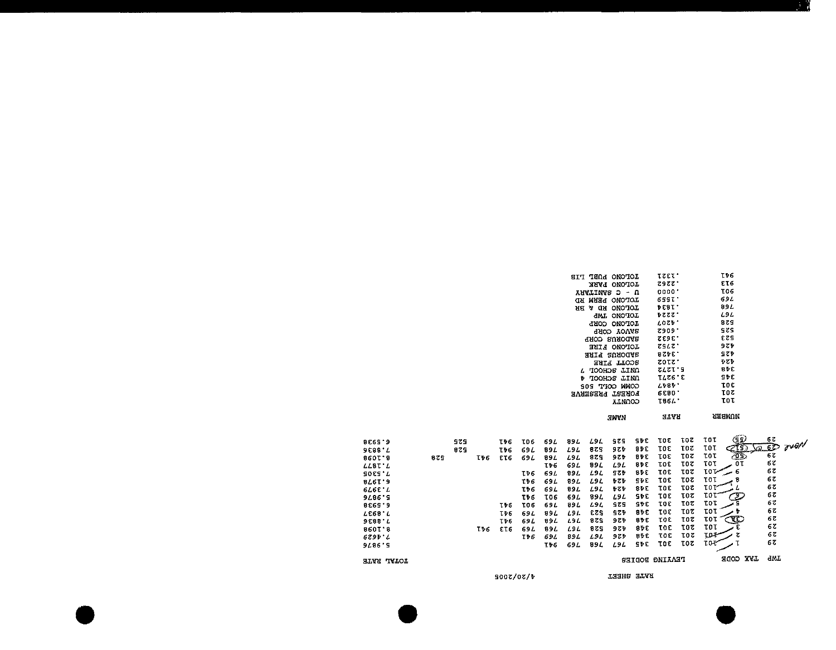|     | 975 |     | <b>TPG</b> | <b>TO6</b>                      | 69 L                                                           | 894                                      | L9 L                     | SZS        | SĐC        | τοε | <b>TOZ</b> | (55)<br>τoτ                 | 67                                                           |
|-----|-----|-----|------------|---------------------------------|----------------------------------------------------------------|------------------------------------------|--------------------------|------------|------------|-----|------------|-----------------------------|--------------------------------------------------------------|
|     | 825 |     | TÞ6        | 69 L                            | 89 L                                                           | L9L                                      | 829                      | 9 Z D      | 91 C       | τοε |            |                             | over<br>$\sqrt{22.62}$                                       |
| 875 |     | Tv6 | ET6        | 69 L                            | 89 L                                                           | L9L                                      | 829                      | 9 Z D      | 91 E       | τοε | τοτ        |                             | 67                                                           |
|     |     |     |            |                                 | T76                                                            | 69L                                      | 89 L                     | L9L        | 91 E       | τοε | τοτ        |                             | 67                                                           |
|     |     |     |            | TÞ6                             | 69 L                                                           | 89L                                      | L9L                      | 42 P       | <b>BPC</b> | τοε | 30 T       | المحصر                      | 67                                                           |
|     |     |     |            | TÞ 6                            | 69 L                                                           | 89 L                                     | LSL                      | もても        | SĐE        | τοε | τοε        | tot<br>я                    | 6ζ                                                           |
|     |     |     |            |                                 |                                                                | 894                                      | LSL                      | もても        | <b>SPE</b> | TOE | 30T        | 10 P                        | 67                                                           |
|     |     |     |            | TĐ 6                            | <b>TO6</b>                                                     | 694                                      | 89 L                     | L9L        | SÞE        | τοε | τοτ        | τοτ                         | 67                                                           |
|     |     |     |            |                                 | 69 L                                                           | 89 L                                     | L9L                      | <b>SZS</b> | SÞ€        | τοε | TOZ        | τοτ                         | 67                                                           |
|     |     |     |            |                                 |                                                                |                                          | 523                      | 524        | a∌€        | τοε | 30 T       | τοτ                         | 68                                                           |
|     |     |     |            |                                 |                                                                |                                          | 325                      | 9 Z D      | atc        | τoε | τοτ        | Œ<br>τοτ                    | 67                                                           |
|     |     |     |            |                                 |                                                                |                                          |                          |            | 31 E       | τοε | τοτ        | τοτ                         | 67                                                           |
|     |     |     |            |                                 |                                                                |                                          |                          |            | BĐE        | TOE | 70Z        | toŧ                         | 67                                                           |
|     |     |     |            |                                 | IÞ6                                                            | 69L                                      | 99 L                     | L9L        | <b>SPE</b> | тοε | τοτ        | T0 T                        | 67                                                           |
|     |     |     |            |                                 |                                                                |                                          |                          |            |            |     |            | HAX CODE                    | <b>GWT</b>                                                   |
|     |     |     |            |                                 |                                                                |                                          |                          |            |            |     |            |                             |                                                              |
|     |     |     | T16        | <b>T16</b><br>T♭6<br>Tv6<br>ET6 | TÞ6<br><b>TO6</b><br>69 L<br>69 L<br>69 L<br>IÞS.<br>4/20/2005 | 694<br>89 L<br><b>894</b><br>89 L<br>694 | L9L<br>L9L<br>L9L<br>99L | 82S<br>L9L | うても<br>うてを |     | TARHS STAR | <b>TOZ</b><br>PEAING BODIES | τοτ<br>ZI9)<br>كونج<br>τοτ<br>τοτ<br>OΤ<br><b>IOT</b><br>్రా |

| <b>SIT TEDA ONOTOL</b> | τεετ:             | TÞ6            |
|------------------------|-------------------|----------------|
| TOLONO PARK            | 2988.             | ET6            |
| ANVIINVS D - N         | nnoo'             | <b>TO6</b>     |
| логоло ъвни на         | 659T'             | 69L            |
| CNOTOL<br>з ан<br>ਮਸ   | <b>DEBI'</b>      | 89 L           |
| <b>JWI ONOTOT</b>      | ひとてと・             | 797            |
| TOLONO CORP            | <b>LOSP.</b>      | 525            |
| <b>GAOD YOVAR</b>      | <b>Z909'</b>      | szs            |
| SNOO RUSCORP           | <b>2595'</b>      | EZS.           |
| LOPONO RTKE            | <b>7947'</b>      | タとり            |
| янія конопек           | 926E.             | SZĐ            |
| SCOTT FIRE             | zotz.             | ラとラ            |
| L TOOHOS LINO          | <b>SL 2 T . S</b> | 81 C           |
| <b>D</b> TOOHDS IINN   | τι ες • ε         | SDE            |
| CONN COPT 202          | 1187.             | tot            |
| <b>LOKESI LKESEKAE</b> | <b>6680.</b>      | τοτ            |
| CONAJA                 | <b>1864'</b>      | τοτ            |
| <b>JWVN</b>            | atan              | <b>AA HMUM</b> |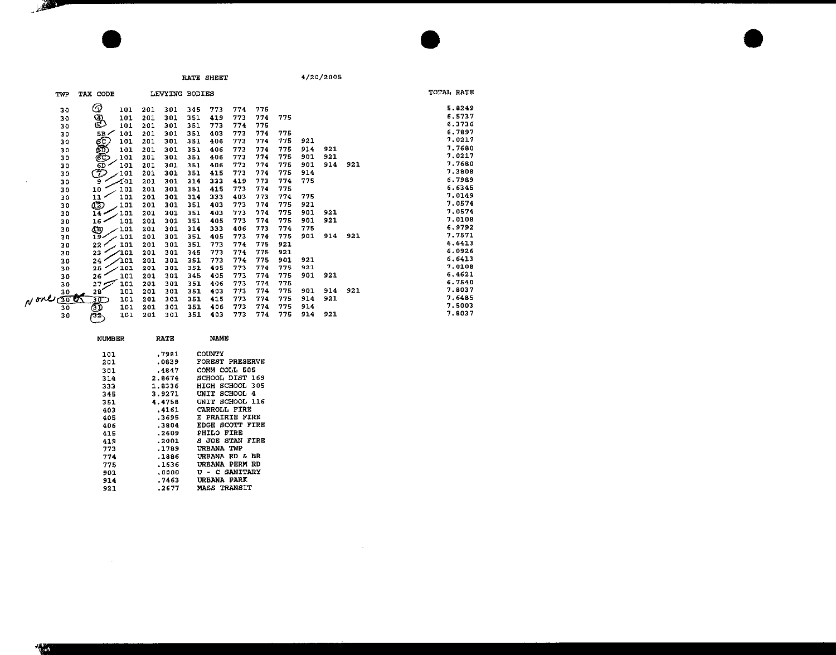$\sim$ 

| TWP                      | <b>TAX CODE</b>               |     | LEVYING BODIES |     |     |     |     |     |     |     |     | TOTAL RATE |
|--------------------------|-------------------------------|-----|----------------|-----|-----|-----|-----|-----|-----|-----|-----|------------|
| 30                       | $\scriptstyle\rm\odot$<br>101 | 201 | 301            | 345 | 773 | 774 | 775 |     |     |     |     | 5.8249     |
| 30                       | ₩<br>101                      | 201 | 301            | 351 | 419 | 773 | 774 | 775 |     |     |     | 6.5737     |
| 30                       | 101                           | 201 | 301            | 351 | 773 | 774 | 775 |     |     |     |     | 6.3736     |
| 30                       | 101<br>$5B \neq$              | 201 | 301            | 351 | 403 | 773 | 774 | 775 |     |     |     | 6.7897     |
| 30                       | <b>BRASH</b><br>101           | 201 | 301            | 351 | 406 | 773 | 774 | 775 | 921 |     |     | 7.0217     |
| 30                       | 101                           | 201 | 301            | 351 | 406 | 773 | 774 | 775 | 914 | 921 |     | 7.7680     |
| 30                       | 101                           | 201 | 301            | 351 | 406 | 773 | 774 | 775 | 901 | 921 |     | 7,0217     |
| 30                       | 101                           | 201 | 301            | 351 | 406 | 773 | 774 | 775 | 901 | 914 | 921 | 7.7680     |
| 30                       | (グ<br>$-101$                  | 201 | 301            | 351 | 415 | 773 | 774 | 775 | 914 |     |     | 7.3808     |
| 30                       | ∕101<br>9                     | 201 | 301            | 314 | 333 | 419 | 773 | 774 | 775 |     |     | 6.7989     |
| 30                       | 101<br>10                     | 201 | 301            | 351 | 415 | 773 | 774 | 775 |     |     |     | 6.6345     |
| 30                       | 11<br>101                     | 201 | 301            | 314 | 333 | 403 | 773 | 774 | 775 |     |     | 7.0149     |
| 30                       | œ<br>101                      | 201 | 301            | 351 | 403 | 773 | 774 | 775 | 921 |     |     | 7.0574     |
| 30                       | 101<br>$14 -$                 | 201 | 301            | 351 | 403 | 773 | 774 | 775 | 901 | 921 |     | 7.0574     |
| 30                       | 101<br>16                     | 201 | 301            | 351 | 405 | 773 | 774 | 775 | 901 | 921 |     | 7.0108     |
| 30                       | ŒУ<br>101                     | 201 | 301            | 314 | 333 | 406 | 773 | 774 | 775 |     |     | 6.9792     |
| 30                       | 101<br>$19 -$                 | 201 | 301            | 351 | 405 | 773 | 774 | 775 | 901 | 914 | 921 | 7.7571     |
| 30                       | 22 <sub>1</sub><br>101        | 201 | 301            | 351 | 773 | 774 | 775 | 921 |     |     |     | 6.6413     |
| 30                       | 23<br>101                     | 201 | 301            | 345 | 773 | 774 | 775 | 921 |     |     |     | 6.0926     |
| 30                       | ∕101<br>24                    | 201 | 301            | 351 | 773 | 774 | 775 | 901 | 921 |     |     | 6.6413     |
| 30                       | 25<br>101                     | 201 | 301            | 351 | 405 | 773 | 774 | 775 | 921 |     |     | 7.0108     |
| 30                       | 101<br>26                     | 201 | 301            | 345 | 405 | 773 | 774 | 775 | 901 | 921 |     | 6,4621     |
| 30                       | 27 <sub>5</sub><br>101        | 201 | 301            | 351 | 406 | 773 | 774 | 775 |     |     |     | 6.7540     |
|                          | 28<br>101                     | 201 | 301            | 351 | 403 | 773 | 774 | 775 | 901 | 914 | 921 | 7.8037     |
| $N$ one $\frac{30}{300}$ | 30)<br>101                    | 201 | 301            | 351 | 415 | 773 | 774 | 775 | 914 | 921 |     | 7,6485     |
| 30                       | ŌĪ<br>101                     | 201 | 301            | 351 | 406 | 773 | 774 | 775 | 914 |     |     | 7.5003     |
| 30                       | 101<br>తె                     | 201 | 301            | 351 | 403 | 773 | 774 | 775 | 914 | 921 |     | 7.8037     |

| <b>NUMBER</b> | <b>RATE</b> | NAME                        |
|---------------|-------------|-----------------------------|
| 101           | .7981       | <b>COUNTY</b>               |
| 201           | .0839       | <b>FOREST PRESERVE</b>      |
| 301           | .4847       | COMM COLL 505               |
| 314           | 2.8674      | SCHOOL DIST 169             |
| 333           | 1.8336      | SCHOOL 305<br>HIGH          |
| 345           | 3.9271      | <b>SCHOOL</b><br>UNIT<br>-4 |
| 351           | 4.4758      | UNIT SCHOOL 116             |
| 403           | .4161       | CARROLL FIRE                |
| 405           | .3695       | E PRAIRIE FIRE              |
| 406           | .3804       | FIRE<br><b>FDGE SCOTT</b>   |
| 415           | -2609       | FIRE<br>PHILO               |
| 419           | .2001       | <b>STAN FIRE</b><br>а лок   |
| 773           | .1789       | UREANA<br>TMP               |
| 774           | . 1836      | URBANA RD & BR              |
| 775           | .1636       | IIREANA<br>PERM RD          |
| 901           | .0000       | <b>U - C SANITARY</b>       |
| 914           | . 7463      | <b>PARK</b><br>URBANA       |
| 921           | .2677       | <b>MASS TRANSIT</b>         |

 $\sim 10^7$ 

 $\overline{z}$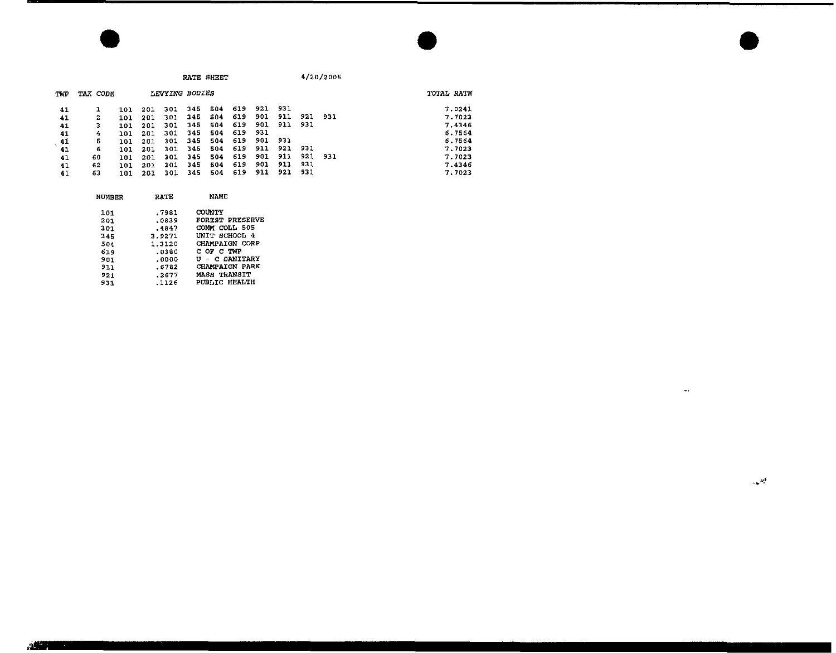|     |          |     |     |                |     | RATE SHEET |     |     |     |       | 4/20/2005 |            |
|-----|----------|-----|-----|----------------|-----|------------|-----|-----|-----|-------|-----------|------------|
| TWP | TAX CODE |     |     | LEVYING BODIES |     |            |     |     |     |       |           | TOTAL RATE |
| 41  |          | 101 | 201 | 301            | 345 | 504        | 619 | 921 | 931 |       |           | 7.0241     |
| 41  | 2        | 101 | 201 | 301            | 345 | 504        | 619 | 901 | 911 | 921   | 931       | 7.7023     |
| 41  | з        | 101 | 201 | 301            | 345 | 504        | 619 | 901 | 911 | - 931 |           | 7.4346     |
| 41  | 4        | 101 | 201 | 301            | 345 | 504        | 619 | 931 |     |       |           | 6.7564     |
| 41  | 5        | 101 | 201 | 301            | 345 | 504        | 619 | 901 | 931 |       |           | 6.7564     |
| 41  | 6        | 101 | 201 | 301            | 345 | 504        | 619 | 911 | 921 | 931   |           | 7.7023     |
| 41  | 60       | 101 | 201 | 301            | 345 | 504        | 619 | 901 | 911 | 921   | 931       | 7.7023     |
| 41  | 62       | 101 | 201 | 301            | 345 | 504        | 619 | 901 | 911 | 931   |           | 7.4346     |
| 41  | 63       | 101 | 201 | 301            | 345 | 504        | 619 | 911 | 921 | 931   |           | 7.7023     |

| <b>NUMBER</b> | <b>RATE</b> | NAME                  |
|---------------|-------------|-----------------------|
| 101           | .7981       | COUNTY                |
| 201           | .0839       | FOREST PRESERVE       |
| 301           | $-4847$     | COMM COLL 505         |
| 345           | 3.9271      | UNIT SCHOOL 4         |
| 504           | 1.3120      | CHAMPAIGN CORP        |
| 619           | .0380       | C OF C TWP            |
| 901           | .0000       | U - C SANITARY        |
| 911           | .6782       | <b>CHAMPAIGN PARK</b> |
| 921           | .2677       | <b>MASS TRANSIT</b>   |
| 931           | .1126       | <b>PUBLIC HEALTH</b>  |
|               |             |                       |

 $\mathcal{L}_{\text{max}}$  and  $\mathcal{L}_{\text{max}}$  . The second state  $\mathcal{L}_{\text{max}}$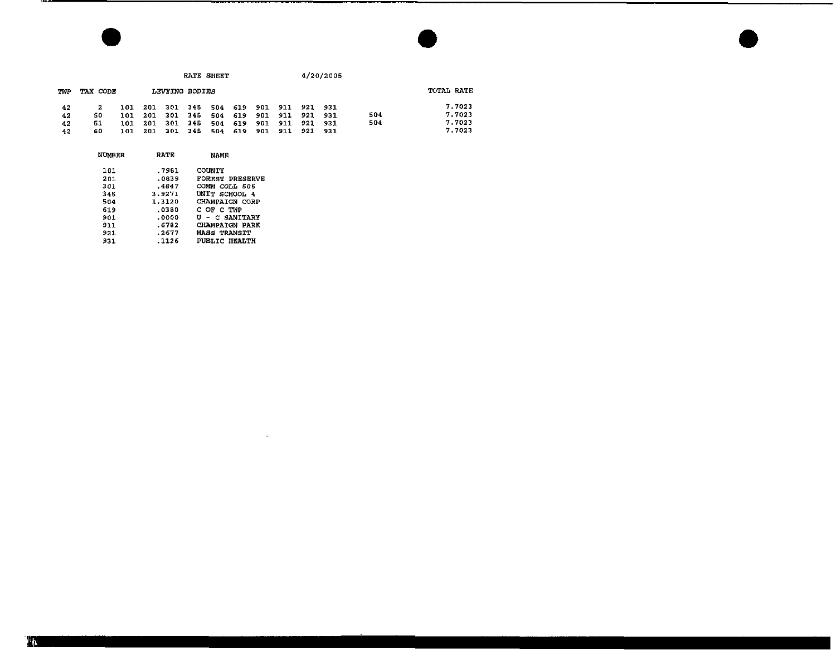|     |          |     |     |     | RATE SHEET     |     |     |     |      |     | 4/20/2005 |     |            |
|-----|----------|-----|-----|-----|----------------|-----|-----|-----|------|-----|-----------|-----|------------|
| TWP | TAX CODE |     |     |     | LEVYING BODIES |     |     |     |      |     |           |     | TOTAL RATE |
| 42  |          | 101 | 201 | 301 | -345           | 504 | 619 | 901 | 911  | 921 | 931       |     | 7.7023     |
| 42  | 50       | 101 | 201 | 301 | -345           | 504 | 619 | 901 | -911 | 921 | - 931     | 504 | 7.7023     |
| 42  | -51      | 101 | 201 | 301 | 345            | 504 | 619 | 901 | 911  | 921 | -931      | 504 | 7.7023     |
| 42  | 60       | 101 | 201 | 301 | 345            | 504 | 619 | 901 | 911  | 921 | 931       |     | 7.7023     |

 $\mathcal{L}(\mathcal{L}(\mathcal{L}(\mathcal{L}(\mathcal{L}(\mathcal{L}(\mathcal{L}(\mathcal{L}(\mathcal{L}(\mathcal{L}(\mathcal{L}(\mathcal{L}(\mathcal{L}(\mathcal{L}(\mathcal{L}(\mathcal{L}(\mathcal{L}(\mathcal{L}(\mathcal{L}(\mathcal{L}(\mathcal{L}(\mathcal{L}(\mathcal{L}(\mathcal{L}(\mathcal{L}(\mathcal{L}(\mathcal{L}(\mathcal{L}(\mathcal{L}(\mathcal{L}(\mathcal{L}(\mathcal{L}(\mathcal{L}(\mathcal{L}(\mathcal{L}(\mathcal{L}(\mathcal{$ 

| <b>NUMBER</b> | RATE   | NAME                   |  |
|---------------|--------|------------------------|--|
| 101           | .7981  | COUNTY                 |  |
| 201           | .0839  | <b>FOREST PRESERVE</b> |  |
| 301           | .4847  | COMM COLL 505          |  |
| 345           | 3.9271 | UNIT SCHOOL 4          |  |
| 504           | 1.3120 | <b>CHAMPAIGN CORP</b>  |  |
| 619           | .0380  | C OF C TMP             |  |
| 901           | . 0000 | U - C SANITARY         |  |
| 911           | .6782  | <b>CHAMPAIGN PARK</b>  |  |
| 921           | .2677  | <b>MASS TRANSIT</b>    |  |
| 931           | . 1126 | <b>PUBLIC HEALTH</b>   |  |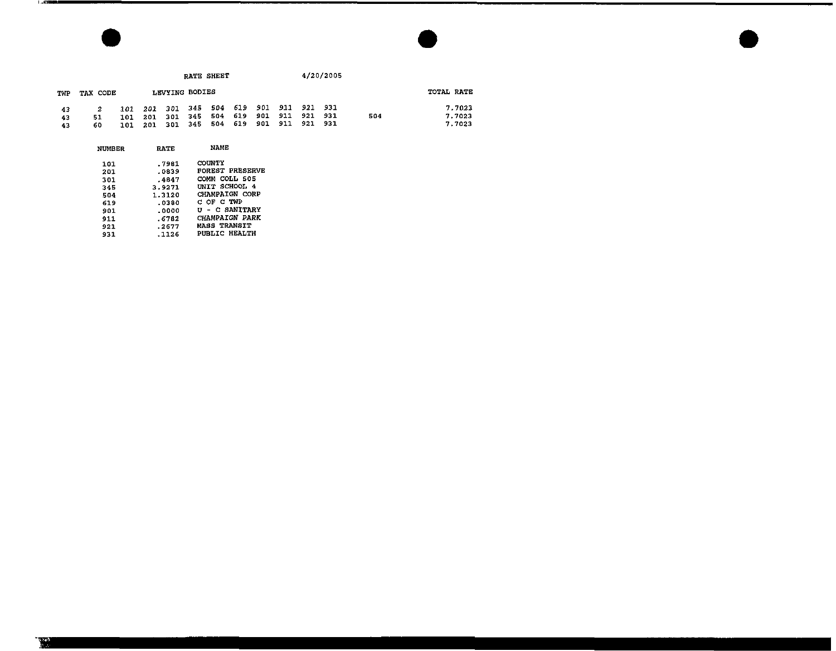|     |               |     |     |             |                | RATE SHEET |     |     |      |         | 4/20/2005 |     |            |
|-----|---------------|-----|-----|-------------|----------------|------------|-----|-----|------|---------|-----------|-----|------------|
| TWP | TAX CODE      |     |     |             | LEVYING BODIES |            |     |     |      |         |           |     | TOTAI RATE |
| 43  | 2             | 101 | 201 | 301         | 345            | 504        | 619 | 901 | -911 | 921 931 |           |     | 7.7023     |
| 43  | 51            | 101 | 201 | 301         | 345            | 504        | 619 | 901 | 911  | 921     | -931      | 504 | 7.7023     |
| 43  | 60            | 101 | 201 | 301         | 345            | 504        | 619 | 901 | 911  | 921     | 931       |     | 7.7023     |
|     | <b>NUMBER</b> |     |     | <b>FATE</b> |                | NAME       |     |     |      |         |           |     |            |

| 101 | .7981  | COUNTY                 |
|-----|--------|------------------------|
| 201 | .0839  | <b>FOREST PRESERVE</b> |
| 301 | .4847  | COMM COLL 505          |
| 345 | 3.9271 | UNIT SCHOOL 4          |
| 504 | 1.3120 | <b>CHAMPAIGN CORP</b>  |
| 619 | .0380  | C OF C TWP             |
| 901 | . 0000 | <b>U - C SANITARY</b>  |
| 911 | .6782  | CHAMPAIGN PARK         |
| 921 | .2677  | <b>MASS TRANSIT</b>    |
| 931 | . 1126 | PUBLIC HEALTH          |
|     |        |                        |

**RATE** 

NUMBER

「ぶ道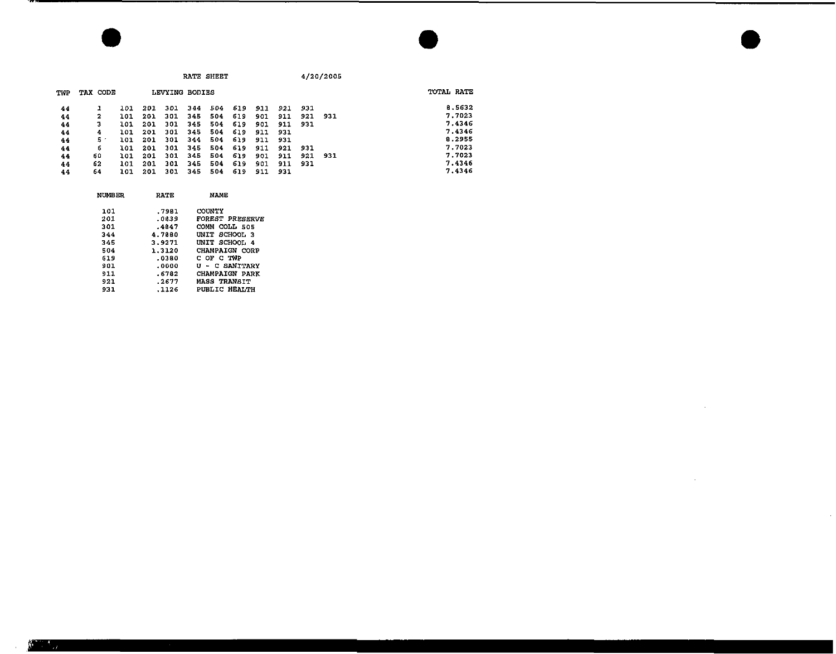|     |          |     |     |                |     | RATE SHEET |     |     |     |     | 4/20/2005 |            |
|-----|----------|-----|-----|----------------|-----|------------|-----|-----|-----|-----|-----------|------------|
| TWP | TAX CODE |     |     | LEVYING BODIES |     |            |     |     |     |     |           | TOTAL RATE |
| 44  | 1        | 101 | 201 | 301            | 344 | 504        | 619 | 911 | 921 | 931 |           | 8.5632     |
| 44  | 2        | 101 | 201 | 301            | 345 | 504        | 619 | 901 | 911 | 921 | 931       | 7.7023     |
| 44  | з        | 101 | 201 | 301            | 345 | 504        | 619 | 901 | 911 | 931 |           | 7.4346     |
| 44  | 4        | 101 | 201 | 301            | 345 | 504        | 619 | 911 | 931 |     |           | 7.4346     |
| 44  | 5.       | 101 | 201 | 301            | 344 | 504        | 619 | 911 | 931 |     |           | 8.2955     |
| 44  | 6        | 101 | 201 | 301            | 345 | 504        | 619 | 911 | 921 | 931 |           | 7.7023     |
| 44  | 60       | 101 | 201 | 301            | 345 | 504        | 619 | 901 | 911 | 921 | 931       | 7.7023     |
| 44  | 62       | 101 | 201 | 301            | 345 | 504        | 619 | 901 | 911 | 931 |           | 7.4346     |
| 44  | 64       | 101 | 201 | 301            | 345 | 504        | 619 | 911 | 931 |     |           | 7.4346     |

 $\mathcal{L}^{\mathcal{L}}(\mathcal{L}^{\mathcal{L}})$  and  $\mathcal{L}^{\mathcal{L}}(\mathcal{L}^{\mathcal{L}})$  . The contribution of  $\mathcal{L}^{\mathcal{L}}$ 

 $\label{eq:2.1} \mathcal{L}(\mathcal{L}^{\mathcal{L}}_{\mathcal{L}}(\mathcal{L}^{\mathcal{L}}_{\mathcal{L}})) = \mathcal{L}(\mathcal{L}^{\mathcal{L}}_{\mathcal{L}}(\mathcal{L}^{\mathcal{L}}_{\mathcal{L}})) = \mathcal{L}(\mathcal{L}^{\mathcal{L}}_{\mathcal{L}}(\mathcal{L}^{\mathcal{L}}_{\mathcal{L}}))$ 

| NUMBER | RATE   | NAME.                  |  |
|--------|--------|------------------------|--|
| 101    | .7981  | COUNTY                 |  |
| 201    | .0839  | <b>FOREST PRESERVE</b> |  |
| 301    | .4847  | COMM COLL 505          |  |
| 344    | 4.7880 | UNIT SCHOOL 3          |  |
| 345    | 3.9271 | UNIT SCHOOL 4          |  |
| 504    | 1.3120 | CHAMPAIGN CORP         |  |
| 619    | .0380  | COFCTWP                |  |
| 901    | .0000  | U - C SANITARY         |  |
| 911    | .6782  | <b>CHAMPAIGN PARK</b>  |  |
| 921    | .2677  | <b>MASS TRANSIT</b>    |  |
| 931    | .1126  | <b>PUBLIC HEALTH</b>   |  |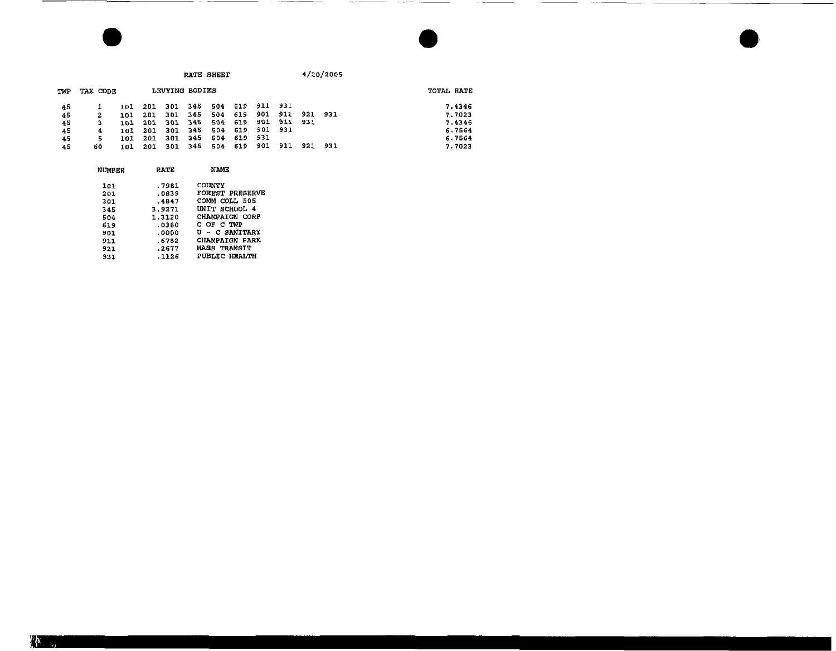|     |          |     |     |                |     | RATE SHEET |     |         |       |      | 4/20/2005 |            |        |
|-----|----------|-----|-----|----------------|-----|------------|-----|---------|-------|------|-----------|------------|--------|
| TWP | TAX CODE |     |     | LEVYING BODIES |     |            |     |         |       |      |           | TOTAL RATE |        |
| 45  |          | 101 | 201 | 301            | 345 | 504        | 619 | 911 931 |       |      |           |            | 7.4346 |
| 45  | 2        | 101 | 201 | 301            | 345 | 504        | 619 | 901     | 911   |      | 921 931   |            | 7.7023 |
| 45  | з        | 161 | 201 | 301            | 345 | 504        | 619 | 901     | 911   | -931 |           |            | 7.4346 |
| 45  | 4        | 101 | 201 | 301            | 345 | 504        | 619 | 901     | - 931 |      |           |            | 6.7564 |
| 45  | 5        | 101 | 201 | 301            | 345 | 504        | 619 | 931     |       |      |           |            | 6.7564 |
| 45  | 60       | 101 | 201 | 301            | 345 | 504        | 619 | 901     | 911   | 921  | 931       |            | 7.7023 |

. . . .

| NUMBER     | RATE             | NAME                                        |
|------------|------------------|---------------------------------------------|
| 161        | .7981<br>.0839   | <b>COUNTY</b><br><b>FOREST PRESERVE</b>     |
| 201<br>301 | .4847            | СОММ<br>COLL 505                            |
| 345<br>504 | 3.9271<br>1.3120 | UNIT SCHOOL 4<br>CHAMPAIGN CORP             |
| 619<br>901 | .0380<br>.0000   | C OF C TWP<br>U - C SANITARY                |
| 911        | .6782            | <b>CHAMPAIGN PARK</b>                       |
| 921<br>931 | .2677<br>.1126   | <b>MASS TRANSIT</b><br><b>PUBLIC HEALTH</b> |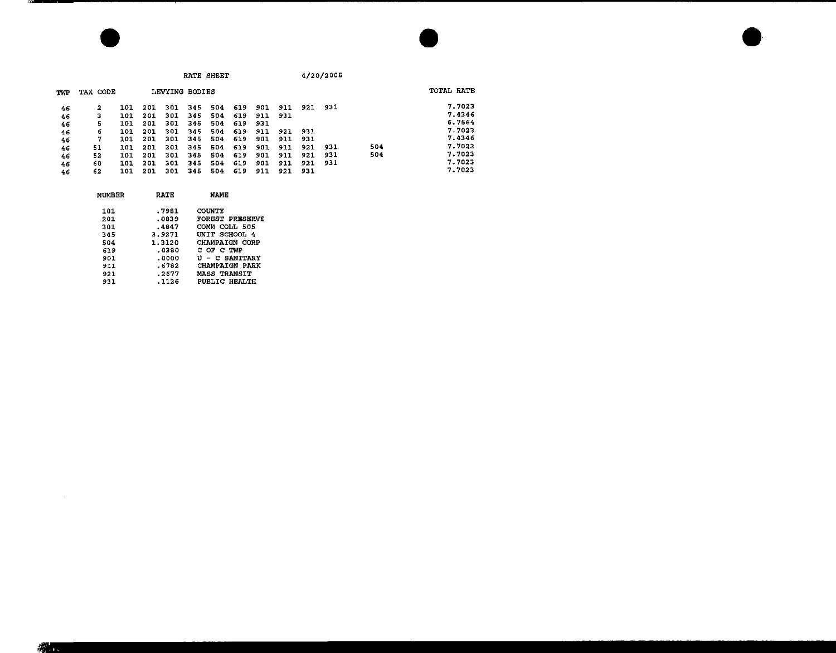|     |          |     |     |                |     | RATE SHEET |      |     |     |     | 4/20/2005 |     |            |  |
|-----|----------|-----|-----|----------------|-----|------------|------|-----|-----|-----|-----------|-----|------------|--|
| TWP | TAX CODE |     |     | LEVYING BODIES |     |            |      |     |     |     |           |     | TOTAL RATE |  |
| 46  | 2        | 101 | 201 | 301            | 345 | 504        | -619 | 901 | 911 | 921 | 931       |     | 7.7023     |  |
| 46  | з        | 101 | 201 | 301            | 345 | 504        | 619  | 911 | 931 |     |           |     | 7.4346     |  |
| 46  | 5        | 101 | 201 | 301            | 345 | 504        | 619  | 931 |     |     |           |     | 6.7564     |  |
| 46  | 6        | 101 | 201 | 301            | 345 | 504        | 619  | 911 | 921 | 931 |           |     | 7.7023     |  |
| 46  | 7        | 101 | 201 | 301            | 345 | 504        | 619  | 901 | 911 | 931 |           |     | 7.4346     |  |
| 46  | 51       | 101 | 201 | 301            | 345 | 504        | 619  | 901 | 911 | 921 | 931       | 504 | 7.7023     |  |
| 46  | 52       | 101 | 201 | 301            | 345 | 504        | 619  | 901 | 911 | 921 | 931       | 504 | 7.7023     |  |
| 46  | 60       | 101 | 201 | 301            | 345 | 504        | 619  | 901 | 911 | 921 | 931       |     | 7.7023     |  |
| 46  | 62       | 101 | 201 | 301            | 345 | 504        | 619  | 911 | 921 | 931 |           |     | 7.7023     |  |

| RATE   | NAME                 |
|--------|----------------------|
| .7981  | COUNTY               |
| .0839  | FOREST PRESERVE      |
| .4847  | COMM COLL 505        |
| 3.9271 | UNIT SCHOOL 4        |
| 1.3120 | CHAMPAIGN CORP       |
| .0380  | COFCTWP              |
| .0000  | U - C SANITARY       |
| .6782  | CHAMPAIGN PARK       |
| .2677  | <b>MASS TRANSIT</b>  |
| .1126  | <b>PUBLIC HEALTH</b> |
|        |                      |

 $\Delta \phi = 0.01$  and  $\Delta \phi = 0.01$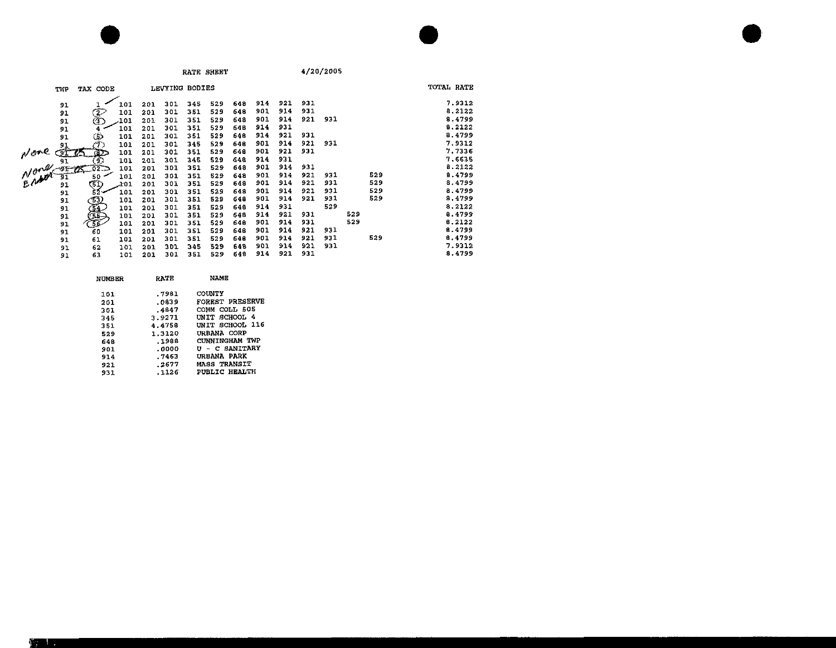| RATE SH |  |  |
|---------|--|--|

**TOTAL RATE TWP TAX CODE** LEVYING BODIES<br> **TAX CODE** LEVYING BODIES<br> **TAX 101 201 301 345 529 648 914 921 931<br>
<b>TAX 101 201 301 351 529 648 901 914 921 931**<br> **TAX 101 201 301 351 529 648 914 921 931**<br> **TAX 101 201 301 351 529 648 914** 7.9312  $91$ 8.2122 91 8.4799  $91$ 8.2122 91 8.4799  $91$  $M$  and  $\frac{91}{91}$ <br> $M$  and  $\frac{91}{91}$ <br> $M$  and  $\frac{91}{91}$ 7.9312  $\frac{6}{102}$  101 201 301 351 529<br>  $\frac{6}{102}$  101 201 301 345 529<br>  $\frac{6}{102}$  101 201 301 351 529 648 901 921 931 7.7336 7.6635 648 914 931 648 901 914 931 B.2122  $50$  101 201 301 351 529 648 901 914 921 931 529 8.4799  $\begin{array}{c}\n 31 \\
 52 \\
 \hline\n 101 \\
 201 \\
 301 \\
 351 \\
 529\n \end{array}$  $x_0$ 1 201 301 351 529 648 901 914 921 931 529 8.4799 901 914 921 931 529 8.4799  $91$ 648 101 201 301 351 529 901 914 921 931 529 8.4799  $91$  $C^{53}$ 648 CONNECT 914 931 529 8,2122  $91$ 101 201 301 351 529 648 101 201 301 351 529 914 921 931 529 8.4799 648  $91$ 901 914 931  $529$ 8.2122  $91$ 101 201 301 351 529 648 648 901 914 921 931 8.4799  $\mathfrak{g}_{\mathbf{1}}$ ້ 60 101 201 301 351 529 101 201 301 351 529 648 901 914 921 931 529 8.4799  $91$ 61 101 201 301 345 529 648 901 914 921 931 7.9312  $91$ 62 101 201 301 351 529 648 914 921 931 8.4799  $91$ 63

| NUMBER | RATE   | <b>NAME</b>            |
|--------|--------|------------------------|
| 101    | .7981  | COUNTY                 |
| 201    | .0839  | <b>FOREST PRESERVE</b> |
| 301    | .4847  | COMM COLL 505          |
| 345    | 3.9271 | UNIT SCHOOL 4          |
| 351    | 4.4758 | UNIT SCHOOL 116        |
| 529    | 1.3120 | URBANA CORP            |
| 648    | .1988  | CUNNINGHAM TWP         |
| 901    | .0000  | U - C SANITARY         |
| 914    | . 7463 | URBANA PARK            |
| 921    | .2677  | <b>MASS TRANSIT</b>    |
| 931    | .1126  | <b>PUBLIC HEALTH</b>   |
|        |        |                        |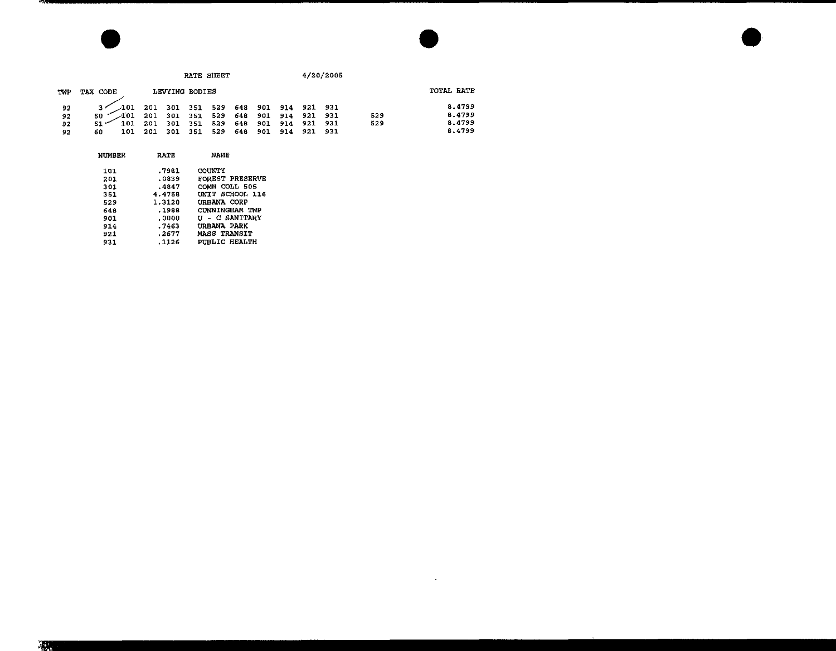|            |                                  | RATE SHEET |            |                |            |            |            |            | 4/20/2005  |            |            |                  |  |
|------------|----------------------------------|------------|------------|----------------|------------|------------|------------|------------|------------|------------|------------|------------------|--|
| <b>TWP</b> | TAX CODE                         |            |            | LEVYING BODIES |            |            |            |            |            |            |            | TOTAL RATE       |  |
| 92         | $\mathcal{A}01$                  | 201        | 301        | 351            | 529        | 648        | 901        | 914        | 921 931    |            |            | 8.4799           |  |
| 92<br>92   | $\lambda$ 01<br>50<br>101<br>51. | 201<br>201 | 301<br>301 | 351<br>351     | 525<br>529 | 548<br>64B | 901<br>901 | 914<br>914 | 921<br>921 | 931<br>931 | 529<br>529 | 8,4799<br>8.4799 |  |
| 92         | 101<br>60                        | 201        | 301        | 351            | 529        | 648        | 901        | 914        | 921        | 931        |            | 8.4799           |  |

 $\mathcal{L}(\mathcal{L}(\mathcal{L}))$  and  $\mathcal{L}(\mathcal{L}(\mathcal{L}))$  . The contribution of  $\mathcal{L}(\mathcal{L})$ 

| NUMBER | <b>RATE</b> | <b>NAME</b>            |
|--------|-------------|------------------------|
| 101    | .7981       | COUNTY                 |
| 201    | .0839       | <b>FOREST PRESERVE</b> |
| 301    | .4847       | COMM COLL 505          |
| 351    | 4.4758      | UNIT SCHOOL 116        |
| 529    | 1.3120      | URBANA CORP            |
| 648    | .1988       | CUNNINGHAM TWP         |
| 901    | .0000       | <b>U – C SANITARY</b>  |
| 914    | - 7463      | URBANA PARK            |
| 921    | .2677       | MASS TRANSIT           |
| 931    | .1126       | PUBLIC HEALTH          |